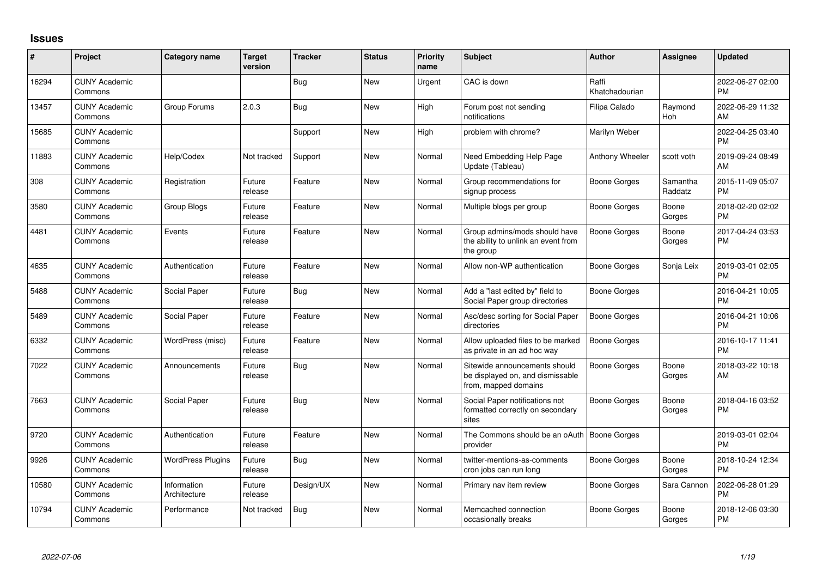## **Issues**

| #     | Project                         | <b>Category name</b>        | <b>Target</b><br>version | <b>Tracker</b> | <b>Status</b> | Priority<br>name | <b>Subject</b>                                                                            | <b>Author</b>           | <b>Assignee</b>     | <b>Updated</b>                |
|-------|---------------------------------|-----------------------------|--------------------------|----------------|---------------|------------------|-------------------------------------------------------------------------------------------|-------------------------|---------------------|-------------------------------|
| 16294 | <b>CUNY Academic</b><br>Commons |                             |                          | <b>Bug</b>     | New           | Urgent           | CAC is down                                                                               | Raffi<br>Khatchadourian |                     | 2022-06-27 02:00<br><b>PM</b> |
| 13457 | <b>CUNY Academic</b><br>Commons | Group Forums                | 2.0.3                    | <b>Bug</b>     | <b>New</b>    | High             | Forum post not sending<br>notifications                                                   | Filipa Calado           | Raymond<br>Hoh      | 2022-06-29 11:32<br>AM        |
| 15685 | <b>CUNY Academic</b><br>Commons |                             |                          | Support        | <b>New</b>    | High             | problem with chrome?                                                                      | Marilyn Weber           |                     | 2022-04-25 03:40<br><b>PM</b> |
| 11883 | <b>CUNY Academic</b><br>Commons | Help/Codex                  | Not tracked              | Support        | <b>New</b>    | Normal           | Need Embedding Help Page<br>Update (Tableau)                                              | Anthony Wheeler         | scott voth          | 2019-09-24 08:49<br>AM        |
| 308   | <b>CUNY Academic</b><br>Commons | Registration                | Future<br>release        | Feature        | <b>New</b>    | Normal           | Group recommendations for<br>signup process                                               | <b>Boone Gorges</b>     | Samantha<br>Raddatz | 2015-11-09 05:07<br><b>PM</b> |
| 3580  | <b>CUNY Academic</b><br>Commons | Group Blogs                 | Future<br>release        | Feature        | New           | Normal           | Multiple blogs per group                                                                  | Boone Gorges            | Boone<br>Gorges     | 2018-02-20 02:02<br><b>PM</b> |
| 4481  | <b>CUNY Academic</b><br>Commons | Events                      | Future<br>release        | Feature        | <b>New</b>    | Normal           | Group admins/mods should have<br>the ability to unlink an event from<br>the group         | <b>Boone Gorges</b>     | Boone<br>Gorges     | 2017-04-24 03:53<br>PM        |
| 4635  | <b>CUNY Academic</b><br>Commons | Authentication              | Future<br>release        | Feature        | <b>New</b>    | Normal           | Allow non-WP authentication                                                               | Boone Gorges            | Sonja Leix          | 2019-03-01 02:05<br><b>PM</b> |
| 5488  | <b>CUNY Academic</b><br>Commons | Social Paper                | Future<br>release        | <b>Bug</b>     | New           | Normal           | Add a "last edited by" field to<br>Social Paper group directories                         | Boone Gorges            |                     | 2016-04-21 10:05<br><b>PM</b> |
| 5489  | <b>CUNY Academic</b><br>Commons | Social Paper                | Future<br>release        | Feature        | <b>New</b>    | Normal           | Asc/desc sorting for Social Paper<br>directories                                          | Boone Gorges            |                     | 2016-04-21 10:06<br><b>PM</b> |
| 6332  | <b>CUNY Academic</b><br>Commons | WordPress (misc)            | Future<br>release        | Feature        | New           | Normal           | Allow uploaded files to be marked<br>as private in an ad hoc way                          | Boone Gorges            |                     | 2016-10-17 11:41<br><b>PM</b> |
| 7022  | <b>CUNY Academic</b><br>Commons | Announcements               | Future<br>release        | <b>Bug</b>     | New           | Normal           | Sitewide announcements should<br>be displayed on, and dismissable<br>from, mapped domains | Boone Gorges            | Boone<br>Gorges     | 2018-03-22 10:18<br>AM        |
| 7663  | <b>CUNY Academic</b><br>Commons | Social Paper                | Future<br>release        | <b>Bug</b>     | <b>New</b>    | Normal           | Social Paper notifications not<br>formatted correctly on secondary<br>sites               | Boone Gorges            | Boone<br>Gorges     | 2018-04-16 03:52<br><b>PM</b> |
| 9720  | <b>CUNY Academic</b><br>Commons | Authentication              | Future<br>release        | Feature        | <b>New</b>    | Normal           | The Commons should be an oAuth   Boone Gorges<br>provider                                 |                         |                     | 2019-03-01 02:04<br><b>PM</b> |
| 9926  | <b>CUNY Academic</b><br>Commons | <b>WordPress Plugins</b>    | Future<br>release        | Bug            | New           | Normal           | twitter-mentions-as-comments<br>cron jobs can run long                                    | Boone Gorges            | Boone<br>Gorges     | 2018-10-24 12:34<br>PM        |
| 10580 | <b>CUNY Academic</b><br>Commons | Information<br>Architecture | Future<br>release        | Design/UX      | <b>New</b>    | Normal           | Primary nav item review                                                                   | Boone Gorges            | Sara Cannon         | 2022-06-28 01:29<br><b>PM</b> |
| 10794 | <b>CUNY Academic</b><br>Commons | Performance                 | Not tracked              | Bug            | <b>New</b>    | Normal           | Memcached connection<br>occasionally breaks                                               | Boone Gorges            | Boone<br>Gorges     | 2018-12-06 03:30<br>PM        |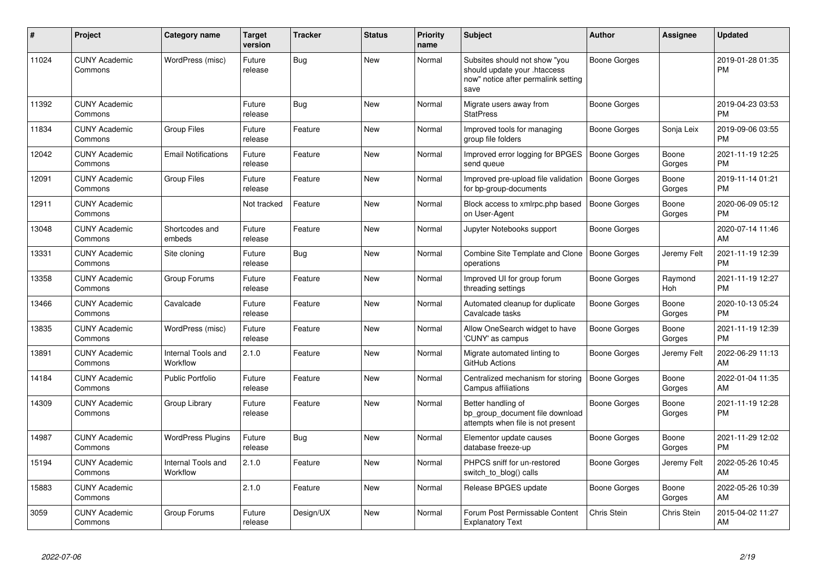| #     | <b>Project</b>                  | Category name                  | <b>Target</b><br>version | <b>Tracker</b> | <b>Status</b> | <b>Priority</b><br>name | <b>Subject</b>                                                                                               | <b>Author</b>       | <b>Assignee</b> | <b>Updated</b>                |
|-------|---------------------------------|--------------------------------|--------------------------|----------------|---------------|-------------------------|--------------------------------------------------------------------------------------------------------------|---------------------|-----------------|-------------------------------|
| 11024 | <b>CUNY Academic</b><br>Commons | WordPress (misc)               | Future<br>release        | <b>Bug</b>     | <b>New</b>    | Normal                  | Subsites should not show "you<br>should update your .htaccess<br>now" notice after permalink setting<br>save | Boone Gorges        |                 | 2019-01-28 01:35<br><b>PM</b> |
| 11392 | <b>CUNY Academic</b><br>Commons |                                | Future<br>release        | Bug            | New           | Normal                  | Migrate users away from<br><b>StatPress</b>                                                                  | Boone Gorges        |                 | 2019-04-23 03:53<br><b>PM</b> |
| 11834 | <b>CUNY Academic</b><br>Commons | <b>Group Files</b>             | Future<br>release        | Feature        | New           | Normal                  | Improved tools for managing<br>group file folders                                                            | Boone Gorges        | Sonja Leix      | 2019-09-06 03:55<br><b>PM</b> |
| 12042 | <b>CUNY Academic</b><br>Commons | <b>Email Notifications</b>     | Future<br>release        | Feature        | New           | Normal                  | Improved error logging for BPGES<br>send queue                                                               | Boone Gorges        | Boone<br>Gorges | 2021-11-19 12:25<br><b>PM</b> |
| 12091 | <b>CUNY Academic</b><br>Commons | <b>Group Files</b>             | Future<br>release        | Feature        | <b>New</b>    | Normal                  | Improved pre-upload file validation<br>for bp-group-documents                                                | Boone Gorges        | Boone<br>Gorges | 2019-11-14 01:21<br><b>PM</b> |
| 12911 | <b>CUNY Academic</b><br>Commons |                                | Not tracked              | Feature        | <b>New</b>    | Normal                  | Block access to xmlrpc.php based<br>on User-Agent                                                            | <b>Boone Gorges</b> | Boone<br>Gorges | 2020-06-09 05:12<br><b>PM</b> |
| 13048 | <b>CUNY Academic</b><br>Commons | Shortcodes and<br>embeds       | Future<br>release        | Feature        | <b>New</b>    | Normal                  | Jupyter Notebooks support                                                                                    | Boone Gorges        |                 | 2020-07-14 11:46<br>AM        |
| 13331 | <b>CUNY Academic</b><br>Commons | Site cloning                   | Future<br>release        | Bug            | <b>New</b>    | Normal                  | Combine Site Template and Clone<br>operations                                                                | Boone Gorges        | Jeremy Felt     | 2021-11-19 12:39<br><b>PM</b> |
| 13358 | <b>CUNY Academic</b><br>Commons | Group Forums                   | Future<br>release        | Feature        | New           | Normal                  | Improved UI for group forum<br>threading settings                                                            | Boone Gorges        | Raymond<br>Hoh  | 2021-11-19 12:27<br><b>PM</b> |
| 13466 | <b>CUNY Academic</b><br>Commons | Cavalcade                      | Future<br>release        | Feature        | New           | Normal                  | Automated cleanup for duplicate<br>Cavalcade tasks                                                           | Boone Gorges        | Boone<br>Gorges | 2020-10-13 05:24<br><b>PM</b> |
| 13835 | <b>CUNY Academic</b><br>Commons | WordPress (misc)               | Future<br>release        | Feature        | New           | Normal                  | Allow OneSearch widget to have<br>'CUNY' as campus                                                           | Boone Gorges        | Boone<br>Gorges | 2021-11-19 12:39<br><b>PM</b> |
| 13891 | <b>CUNY Academic</b><br>Commons | Internal Tools and<br>Workflow | 2.1.0                    | Feature        | New           | Normal                  | Migrate automated linting to<br>GitHub Actions                                                               | Boone Gorges        | Jeremy Felt     | 2022-06-29 11:13<br>AM        |
| 14184 | <b>CUNY Academic</b><br>Commons | Public Portfolio               | Future<br>release        | Feature        | <b>New</b>    | Normal                  | Centralized mechanism for storing<br>Campus affiliations                                                     | Boone Gorges        | Boone<br>Gorges | 2022-01-04 11:35<br>AM        |
| 14309 | <b>CUNY Academic</b><br>Commons | Group Library                  | Future<br>release        | Feature        | <b>New</b>    | Normal                  | Better handling of<br>bp group document file download<br>attempts when file is not present                   | Boone Gorges        | Boone<br>Gorges | 2021-11-19 12:28<br><b>PM</b> |
| 14987 | <b>CUNY Academic</b><br>Commons | <b>WordPress Plugins</b>       | Future<br>release        | Bug            | <b>New</b>    | Normal                  | Elementor update causes<br>database freeze-up                                                                | Boone Gorges        | Boone<br>Gorges | 2021-11-29 12:02<br><b>PM</b> |
| 15194 | <b>CUNY Academic</b><br>Commons | Internal Tools and<br>Workflow | 2.1.0                    | Feature        | <b>New</b>    | Normal                  | PHPCS sniff for un-restored<br>switch to blog() calls                                                        | Boone Gorges        | Jeremy Felt     | 2022-05-26 10:45<br>AM        |
| 15883 | <b>CUNY Academic</b><br>Commons |                                | 2.1.0                    | Feature        | <b>New</b>    | Normal                  | Release BPGES update                                                                                         | Boone Gorges        | Boone<br>Gorges | 2022-05-26 10:39<br>AM        |
| 3059  | <b>CUNY Academic</b><br>Commons | Group Forums                   | Future<br>release        | Design/UX      | <b>New</b>    | Normal                  | Forum Post Permissable Content<br><b>Explanatory Text</b>                                                    | Chris Stein         | Chris Stein     | 2015-04-02 11:27<br>AM        |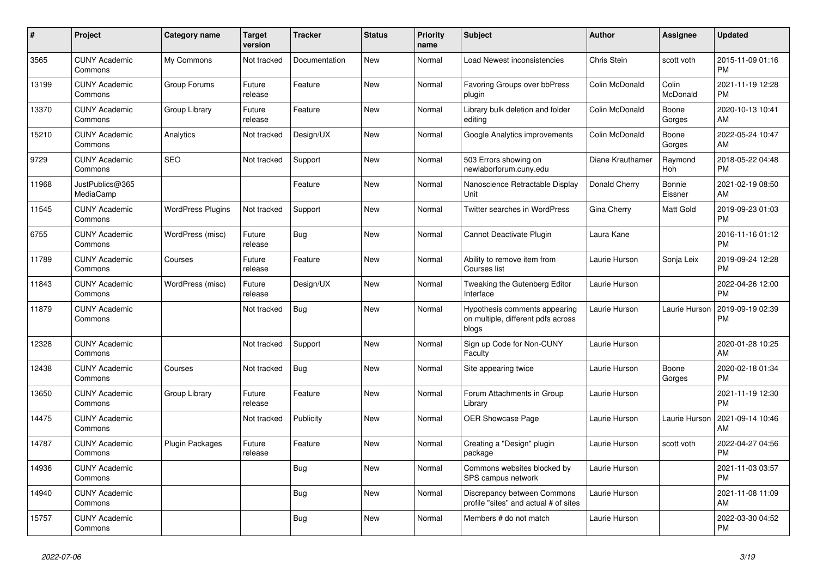| #     | Project                         | <b>Category name</b>     | <b>Target</b><br>version | <b>Tracker</b> | <b>Status</b> | <b>Priority</b><br>name | <b>Subject</b>                                                               | <b>Author</b>    | Assignee          | <b>Updated</b>                |
|-------|---------------------------------|--------------------------|--------------------------|----------------|---------------|-------------------------|------------------------------------------------------------------------------|------------------|-------------------|-------------------------------|
| 3565  | <b>CUNY Academic</b><br>Commons | My Commons               | Not tracked              | Documentation  | <b>New</b>    | Normal                  | Load Newest inconsistencies                                                  | Chris Stein      | scott voth        | 2015-11-09 01:16<br><b>PM</b> |
| 13199 | <b>CUNY Academic</b><br>Commons | Group Forums             | Future<br>release        | Feature        | New           | Normal                  | Favoring Groups over bbPress<br>plugin                                       | Colin McDonald   | Colin<br>McDonald | 2021-11-19 12:28<br><b>PM</b> |
| 13370 | <b>CUNY Academic</b><br>Commons | Group Library            | Future<br>release        | Feature        | New           | Normal                  | Library bulk deletion and folder<br>editina                                  | Colin McDonald   | Boone<br>Gorges   | 2020-10-13 10:41<br>AM        |
| 15210 | <b>CUNY Academic</b><br>Commons | Analytics                | Not tracked              | Design/UX      | <b>New</b>    | Normal                  | Google Analytics improvements                                                | Colin McDonald   | Boone<br>Gorges   | 2022-05-24 10:47<br>AM        |
| 9729  | <b>CUNY Academic</b><br>Commons | <b>SEO</b>               | Not tracked              | Support        | New           | Normal                  | 503 Errors showing on<br>newlaborforum.cuny.edu                              | Diane Krauthamer | Raymond<br>Hoh    | 2018-05-22 04:48<br><b>PM</b> |
| 11968 | JustPublics@365<br>MediaCamp    |                          |                          | Feature        | <b>New</b>    | Normal                  | Nanoscience Retractable Display<br>Unit                                      | Donald Cherry    | Bonnie<br>Eissner | 2021-02-19 08:50<br>AM        |
| 11545 | <b>CUNY Academic</b><br>Commons | <b>WordPress Plugins</b> | Not tracked              | Support        | <b>New</b>    | Normal                  | <b>Twitter searches in WordPress</b>                                         | Gina Cherry      | Matt Gold         | 2019-09-23 01:03<br><b>PM</b> |
| 6755  | <b>CUNY Academic</b><br>Commons | WordPress (misc)         | Future<br>release        | Bug            | <b>New</b>    | Normal                  | Cannot Deactivate Plugin                                                     | Laura Kane       |                   | 2016-11-16 01:12<br><b>PM</b> |
| 11789 | <b>CUNY Academic</b><br>Commons | Courses                  | Future<br>release        | Feature        | <b>New</b>    | Normal                  | Ability to remove item from<br>Courses list                                  | Laurie Hurson    | Sonja Leix        | 2019-09-24 12:28<br><b>PM</b> |
| 11843 | <b>CUNY Academic</b><br>Commons | WordPress (misc)         | Future<br>release        | Design/UX      | New           | Normal                  | Tweaking the Gutenberg Editor<br>Interface                                   | Laurie Hurson    |                   | 2022-04-26 12:00<br><b>PM</b> |
| 11879 | <b>CUNY Academic</b><br>Commons |                          | Not tracked              | Bug            | <b>New</b>    | Normal                  | Hypothesis comments appearing<br>on multiple, different pdfs across<br>blogs | Laurie Hurson    | Laurie Hurson     | 2019-09-19 02:39<br><b>PM</b> |
| 12328 | <b>CUNY Academic</b><br>Commons |                          | Not tracked              | Support        | <b>New</b>    | Normal                  | Sign up Code for Non-CUNY<br>Faculty                                         | Laurie Hurson    |                   | 2020-01-28 10:25<br>AM        |
| 12438 | <b>CUNY Academic</b><br>Commons | Courses                  | Not tracked              | Bug            | <b>New</b>    | Normal                  | Site appearing twice                                                         | Laurie Hurson    | Boone<br>Gorges   | 2020-02-18 01:34<br><b>PM</b> |
| 13650 | <b>CUNY Academic</b><br>Commons | Group Library            | Future<br>release        | Feature        | New           | Normal                  | Forum Attachments in Group<br>Library                                        | Laurie Hurson    |                   | 2021-11-19 12:30<br><b>PM</b> |
| 14475 | <b>CUNY Academic</b><br>Commons |                          | Not tracked              | Publicity      | <b>New</b>    | Normal                  | <b>OER Showcase Page</b>                                                     | Laurie Hurson    | Laurie Hurson     | 2021-09-14 10:46<br>AM        |
| 14787 | <b>CUNY Academic</b><br>Commons | <b>Plugin Packages</b>   | Future<br>release        | Feature        | <b>New</b>    | Normal                  | Creating a "Design" plugin<br>package                                        | Laurie Hurson    | scott voth        | 2022-04-27 04:56<br><b>PM</b> |
| 14936 | <b>CUNY Academic</b><br>Commons |                          |                          | <b>Bug</b>     | <b>New</b>    | Normal                  | Commons websites blocked by<br>SPS campus network                            | Laurie Hurson    |                   | 2021-11-03 03:57<br><b>PM</b> |
| 14940 | <b>CUNY Academic</b><br>Commons |                          |                          | Bug            | <b>New</b>    | Normal                  | Discrepancy between Commons<br>profile "sites" and actual # of sites         | Laurie Hurson    |                   | 2021-11-08 11:09<br>AM        |
| 15757 | <b>CUNY Academic</b><br>Commons |                          |                          | <b>Bug</b>     | <b>New</b>    | Normal                  | Members # do not match                                                       | Laurie Hurson    |                   | 2022-03-30 04:52<br><b>PM</b> |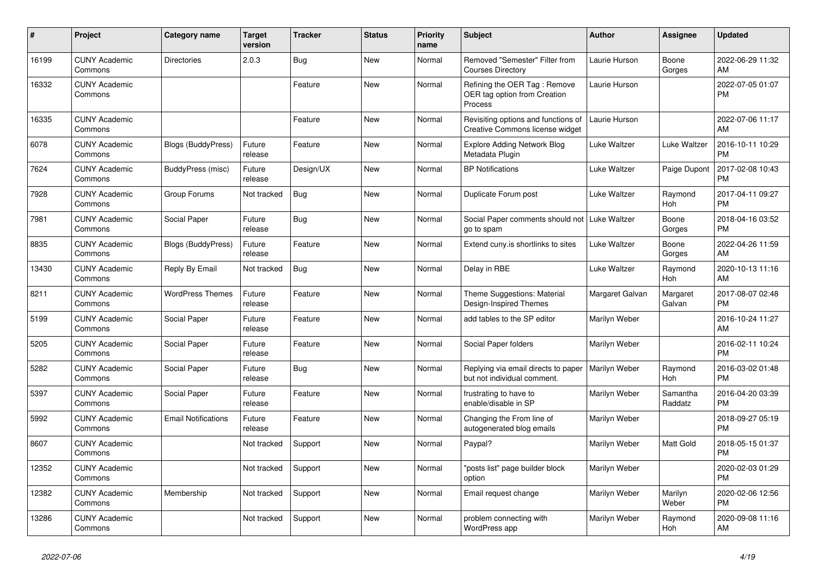| #     | <b>Project</b>                  | <b>Category name</b>       | <b>Target</b><br>version | <b>Tracker</b> | <b>Status</b> | <b>Priority</b><br>name | <b>Subject</b>                                                          | <b>Author</b>   | Assignee            | <b>Updated</b>                |
|-------|---------------------------------|----------------------------|--------------------------|----------------|---------------|-------------------------|-------------------------------------------------------------------------|-----------------|---------------------|-------------------------------|
| 16199 | <b>CUNY Academic</b><br>Commons | <b>Directories</b>         | 2.0.3                    | Bug            | New           | Normal                  | Removed "Semester" Filter from<br><b>Courses Directory</b>              | Laurie Hurson   | Boone<br>Gorges     | 2022-06-29 11:32<br>AM        |
| 16332 | <b>CUNY Academic</b><br>Commons |                            |                          | Feature        | New           | Normal                  | Refining the OER Tag: Remove<br>OER tag option from Creation<br>Process | Laurie Hurson   |                     | 2022-07-05 01:07<br><b>PM</b> |
| 16335 | <b>CUNY Academic</b><br>Commons |                            |                          | Feature        | <b>New</b>    | Normal                  | Revisiting options and functions of<br>Creative Commons license widget  | Laurie Hurson   |                     | 2022-07-06 11:17<br>AM        |
| 6078  | <b>CUNY Academic</b><br>Commons | <b>Blogs (BuddyPress)</b>  | Future<br>release        | Feature        | New           | Normal                  | <b>Explore Adding Network Blog</b><br>Metadata Plugin                   | Luke Waltzer    | Luke Waltzer        | 2016-10-11 10:29<br><b>PM</b> |
| 7624  | <b>CUNY Academic</b><br>Commons | BuddyPress (misc)          | Future<br>release        | Design/UX      | New           | Normal                  | <b>BP Notifications</b>                                                 | Luke Waltzer    | Paige Dupont        | 2017-02-08 10:43<br><b>PM</b> |
| 7928  | <b>CUNY Academic</b><br>Commons | Group Forums               | Not tracked              | Bug            | <b>New</b>    | Normal                  | Duplicate Forum post                                                    | Luke Waltzer    | Raymond<br>Hoh      | 2017-04-11 09:27<br><b>PM</b> |
| 7981  | <b>CUNY Academic</b><br>Commons | Social Paper               | Future<br>release        | Bug            | <b>New</b>    | Normal                  | Social Paper comments should not   Luke Waltzer<br>go to spam           |                 | Boone<br>Gorges     | 2018-04-16 03:52<br><b>PM</b> |
| 8835  | <b>CUNY Academic</b><br>Commons | <b>Blogs (BuddyPress)</b>  | Future<br>release        | Feature        | <b>New</b>    | Normal                  | Extend cuny.is shortlinks to sites                                      | Luke Waltzer    | Boone<br>Gorges     | 2022-04-26 11:59<br>AM        |
| 13430 | <b>CUNY Academic</b><br>Commons | Reply By Email             | Not tracked              | Bug            | <b>New</b>    | Normal                  | Delay in RBE                                                            | Luke Waltzer    | Raymond<br>Hoh      | 2020-10-13 11:16<br>AM        |
| 8211  | <b>CUNY Academic</b><br>Commons | <b>WordPress Themes</b>    | Future<br>release        | Feature        | New           | Normal                  | Theme Suggestions: Material<br>Design-Inspired Themes                   | Margaret Galvan | Margaret<br>Galvan  | 2017-08-07 02:48<br><b>PM</b> |
| 5199  | <b>CUNY Academic</b><br>Commons | Social Paper               | Future<br>release        | Feature        | New           | Normal                  | add tables to the SP editor                                             | Marilyn Weber   |                     | 2016-10-24 11:27<br>AM        |
| 5205  | <b>CUNY Academic</b><br>Commons | Social Paper               | Future<br>release        | Feature        | New           | Normal                  | Social Paper folders                                                    | Marilyn Weber   |                     | 2016-02-11 10:24<br><b>PM</b> |
| 5282  | <b>CUNY Academic</b><br>Commons | Social Paper               | Future<br>release        | Bug            | <b>New</b>    | Normal                  | Replying via email directs to paper<br>but not individual comment.      | Marilyn Weber   | Raymond<br>Hoh      | 2016-03-02 01:48<br><b>PM</b> |
| 5397  | <b>CUNY Academic</b><br>Commons | Social Paper               | Future<br>release        | Feature        | New           | Normal                  | frustrating to have to<br>enable/disable in SP                          | Marilyn Weber   | Samantha<br>Raddatz | 2016-04-20 03:39<br><b>PM</b> |
| 5992  | <b>CUNY Academic</b><br>Commons | <b>Email Notifications</b> | Future<br>release        | Feature        | <b>New</b>    | Normal                  | Changing the From line of<br>autogenerated blog emails                  | Marilyn Weber   |                     | 2018-09-27 05:19<br><b>PM</b> |
| 8607  | <b>CUNY Academic</b><br>Commons |                            | Not tracked              | Support        | New           | Normal                  | Paypal?                                                                 | Marilyn Weber   | Matt Gold           | 2018-05-15 01:37<br><b>PM</b> |
| 12352 | <b>CUNY Academic</b><br>Commons |                            | Not tracked              | Support        | New           | Normal                  | "posts list" page builder block<br>option                               | Marilyn Weber   |                     | 2020-02-03 01:29<br><b>PM</b> |
| 12382 | <b>CUNY Academic</b><br>Commons | Membership                 | Not tracked              | Support        | <b>New</b>    | Normal                  | Email request change                                                    | Marilyn Weber   | Marilyn<br>Weber    | 2020-02-06 12:56<br><b>PM</b> |
| 13286 | <b>CUNY Academic</b><br>Commons |                            | Not tracked              | Support        | <b>New</b>    | Normal                  | problem connecting with<br>WordPress app                                | Marilyn Weber   | Raymond<br>Hoh      | 2020-09-08 11:16<br>AM        |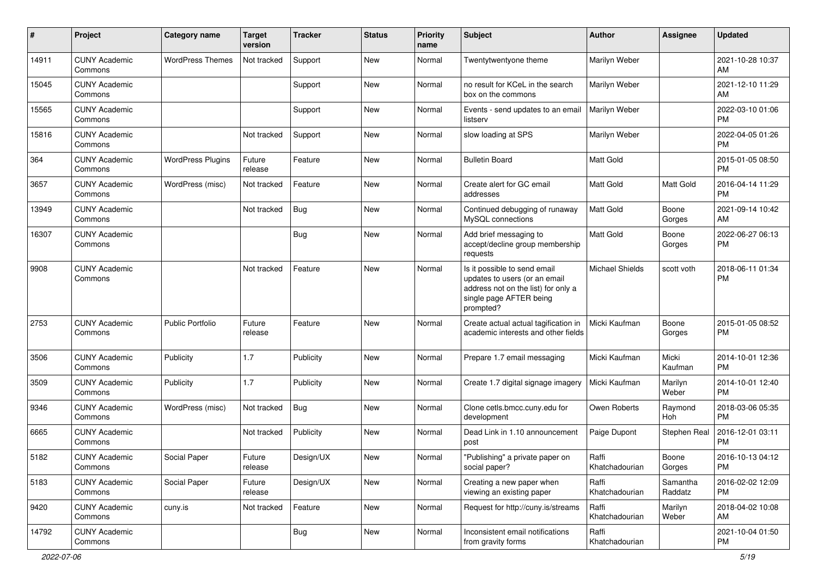| #     | Project                         | <b>Category name</b>     | <b>Target</b><br>version | <b>Tracker</b> | <b>Status</b> | <b>Priority</b><br>name | <b>Subject</b>                                                                                                                               | <b>Author</b>           | <b>Assignee</b>     | <b>Updated</b>                |
|-------|---------------------------------|--------------------------|--------------------------|----------------|---------------|-------------------------|----------------------------------------------------------------------------------------------------------------------------------------------|-------------------------|---------------------|-------------------------------|
| 14911 | <b>CUNY Academic</b><br>Commons | <b>WordPress Themes</b>  | Not tracked              | Support        | <b>New</b>    | Normal                  | Twentytwentyone theme                                                                                                                        | Marilyn Weber           |                     | 2021-10-28 10:37<br>AM        |
| 15045 | <b>CUNY Academic</b><br>Commons |                          |                          | Support        | New           | Normal                  | no result for KCeL in the search<br>box on the commons                                                                                       | Marilyn Weber           |                     | 2021-12-10 11:29<br>AM        |
| 15565 | <b>CUNY Academic</b><br>Commons |                          |                          | Support        | New           | Normal                  | Events - send updates to an email<br>listserv                                                                                                | Marilyn Weber           |                     | 2022-03-10 01:06<br>PM        |
| 15816 | <b>CUNY Academic</b><br>Commons |                          | Not tracked              | Support        | New           | Normal                  | slow loading at SPS                                                                                                                          | Marilyn Weber           |                     | 2022-04-05 01:26<br>PM        |
| 364   | <b>CUNY Academic</b><br>Commons | <b>WordPress Plugins</b> | Future<br>release        | Feature        | <b>New</b>    | Normal                  | <b>Bulletin Board</b>                                                                                                                        | <b>Matt Gold</b>        |                     | 2015-01-05 08:50<br><b>PM</b> |
| 3657  | <b>CUNY Academic</b><br>Commons | WordPress (misc)         | Not tracked              | Feature        | New           | Normal                  | Create alert for GC email<br>addresses                                                                                                       | <b>Matt Gold</b>        | Matt Gold           | 2016-04-14 11:29<br><b>PM</b> |
| 13949 | <b>CUNY Academic</b><br>Commons |                          | Not tracked              | Bug            | New           | Normal                  | Continued debugging of runaway<br>MySQL connections                                                                                          | <b>Matt Gold</b>        | Boone<br>Gorges     | 2021-09-14 10:42<br>AM        |
| 16307 | <b>CUNY Academic</b><br>Commons |                          |                          | <b>Bug</b>     | New           | Normal                  | Add brief messaging to<br>accept/decline group membership<br>requests                                                                        | <b>Matt Gold</b>        | Boone<br>Gorges     | 2022-06-27 06:13<br>PM        |
| 9908  | <b>CUNY Academic</b><br>Commons |                          | Not tracked              | Feature        | New           | Normal                  | Is it possible to send email<br>updates to users (or an email<br>address not on the list) for only a<br>single page AFTER being<br>prompted? | <b>Michael Shields</b>  | scott voth          | 2018-06-11 01:34<br>PM        |
| 2753  | <b>CUNY Academic</b><br>Commons | <b>Public Portfolio</b>  | Future<br>release        | Feature        | New           | Normal                  | Create actual actual tagification in<br>academic interests and other fields                                                                  | Micki Kaufman           | Boone<br>Gorges     | 2015-01-05 08:52<br><b>PM</b> |
| 3506  | <b>CUNY Academic</b><br>Commons | Publicity                | 1.7                      | Publicity      | New           | Normal                  | Prepare 1.7 email messaging                                                                                                                  | Micki Kaufman           | Micki<br>Kaufman    | 2014-10-01 12:36<br>PM        |
| 3509  | <b>CUNY Academic</b><br>Commons | Publicity                | 1.7                      | Publicity      | New           | Normal                  | Create 1.7 digital signage imagery                                                                                                           | Micki Kaufman           | Marilyn<br>Weber    | 2014-10-01 12:40<br><b>PM</b> |
| 9346  | <b>CUNY Academic</b><br>Commons | WordPress (misc)         | Not tracked              | Bug            | <b>New</b>    | Normal                  | Clone cetls.bmcc.cuny.edu for<br>development                                                                                                 | Owen Roberts            | Raymond<br>Hoh      | 2018-03-06 05:35<br><b>PM</b> |
| 6665  | <b>CUNY Academic</b><br>Commons |                          | Not tracked              | Publicity      | New           | Normal                  | Dead Link in 1.10 announcement<br>post                                                                                                       | Paige Dupont            | Stephen Real        | 2016-12-01 03:11<br>PM        |
| 5182  | <b>CUNY Academic</b><br>Commons | Social Paper             | Future<br>release        | Design/UX      | New           | Normal                  | "Publishing" a private paper on<br>social paper?                                                                                             | Raffi<br>Khatchadourian | Boone<br>Gorges     | 2016-10-13 04:12<br>PM        |
| 5183  | <b>CUNY Academic</b><br>Commons | Social Paper             | Future<br>release        | Design/UX      | New           | Normal                  | Creating a new paper when<br>viewing an existing paper                                                                                       | Raffi<br>Khatchadourian | Samantha<br>Raddatz | 2016-02-02 12:09<br><b>PM</b> |
| 9420  | <b>CUNY Academic</b><br>Commons | cuny.is                  | Not tracked              | Feature        | New           | Normal                  | Request for http://cuny.is/streams                                                                                                           | Raffi<br>Khatchadourian | Marilyn<br>Weber    | 2018-04-02 10:08<br>AM        |
| 14792 | <b>CUNY Academic</b><br>Commons |                          |                          | Bug            | New           | Normal                  | Inconsistent email notifications<br>from gravity forms                                                                                       | Raffi<br>Khatchadourian |                     | 2021-10-04 01:50<br><b>PM</b> |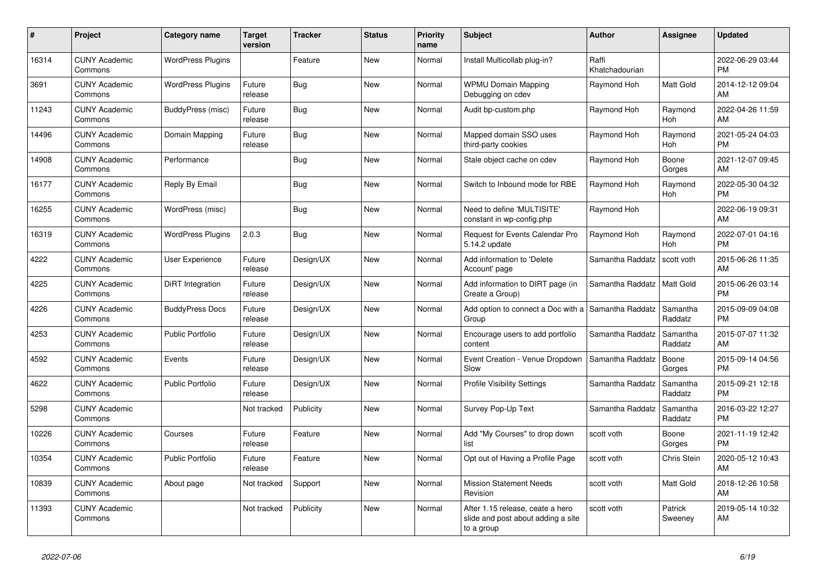| #     | <b>Project</b>                  | <b>Category name</b>     | Target<br>version | <b>Tracker</b> | <b>Status</b> | <b>Priority</b><br>name | <b>Subject</b>                                                                       | <b>Author</b>           | Assignee            | <b>Updated</b>                |
|-------|---------------------------------|--------------------------|-------------------|----------------|---------------|-------------------------|--------------------------------------------------------------------------------------|-------------------------|---------------------|-------------------------------|
| 16314 | <b>CUNY Academic</b><br>Commons | <b>WordPress Plugins</b> |                   | Feature        | New           | Normal                  | Install Multicollab plug-in?                                                         | Raffi<br>Khatchadourian |                     | 2022-06-29 03:44<br><b>PM</b> |
| 3691  | <b>CUNY Academic</b><br>Commons | <b>WordPress Plugins</b> | Future<br>release | Bug            | New           | Normal                  | <b>WPMU Domain Mapping</b><br>Debugging on cdev                                      | Raymond Hoh             | Matt Gold           | 2014-12-12 09:04<br>AM        |
| 11243 | <b>CUNY Academic</b><br>Commons | BuddyPress (misc)        | Future<br>release | Bug            | <b>New</b>    | Normal                  | Audit bp-custom.php                                                                  | Raymond Hoh             | Raymond<br>Hoh      | 2022-04-26 11:59<br>AM        |
| 14496 | <b>CUNY Academic</b><br>Commons | Domain Mapping           | Future<br>release | <b>Bug</b>     | New           | Normal                  | Mapped domain SSO uses<br>third-party cookies                                        | Raymond Hoh             | Raymond<br>Hoh      | 2021-05-24 04:03<br><b>PM</b> |
| 14908 | <b>CUNY Academic</b><br>Commons | Performance              |                   | <b>Bug</b>     | New           | Normal                  | Stale object cache on cdev                                                           | Raymond Hoh             | Boone<br>Gorges     | 2021-12-07 09:45<br>AM        |
| 16177 | <b>CUNY Academic</b><br>Commons | Reply By Email           |                   | Bug            | <b>New</b>    | Normal                  | Switch to Inbound mode for RBE                                                       | Raymond Hoh             | Raymond<br>Hoh      | 2022-05-30 04:32<br><b>PM</b> |
| 16255 | <b>CUNY Academic</b><br>Commons | WordPress (misc)         |                   | Bug            | <b>New</b>    | Normal                  | Need to define 'MULTISITE'<br>constant in wp-config.php                              | Raymond Hoh             |                     | 2022-06-19 09:31<br>AM        |
| 16319 | <b>CUNY Academic</b><br>Commons | <b>WordPress Plugins</b> | 2.0.3             | <b>Bug</b>     | New           | Normal                  | Request for Events Calendar Pro<br>5.14.2 update                                     | Raymond Hoh             | Raymond<br>Hoh      | 2022-07-01 04:16<br><b>PM</b> |
| 4222  | <b>CUNY Academic</b><br>Commons | User Experience          | Future<br>release | Design/UX      | <b>New</b>    | Normal                  | Add information to 'Delete<br>Account' page                                          | Samantha Raddatz        | scott voth          | 2015-06-26 11:35<br>AM        |
| 4225  | <b>CUNY Academic</b><br>Commons | DiRT Integration         | Future<br>release | Design/UX      | <b>New</b>    | Normal                  | Add information to DIRT page (in<br>Create a Group)                                  | Samantha Raddatz        | Matt Gold           | 2015-06-26 03:14<br><b>PM</b> |
| 4226  | <b>CUNY Academic</b><br>Commons | <b>BuddyPress Docs</b>   | Future<br>release | Design/UX      | <b>New</b>    | Normal                  | Add option to connect a Doc with a<br>Group                                          | Samantha Raddatz        | Samantha<br>Raddatz | 2015-09-09 04:08<br><b>PM</b> |
| 4253  | <b>CUNY Academic</b><br>Commons | <b>Public Portfolio</b>  | Future<br>release | Design/UX      | New           | Normal                  | Encourage users to add portfolio<br>content                                          | Samantha Raddatz        | Samantha<br>Raddatz | 2015-07-07 11:32<br>AM        |
| 4592  | <b>CUNY Academic</b><br>Commons | Events                   | Future<br>release | Design/UX      | New           | Normal                  | Event Creation - Venue Dropdown<br>Slow                                              | Samantha Raddatz        | Boone<br>Gorges     | 2015-09-14 04:56<br><b>PM</b> |
| 4622  | <b>CUNY Academic</b><br>Commons | <b>Public Portfolio</b>  | Future<br>release | Design/UX      | <b>New</b>    | Normal                  | <b>Profile Visibility Settings</b>                                                   | Samantha Raddatz        | Samantha<br>Raddatz | 2015-09-21 12:18<br><b>PM</b> |
| 5298  | <b>CUNY Academic</b><br>Commons |                          | Not tracked       | Publicity      | New           | Normal                  | Survey Pop-Up Text                                                                   | Samantha Raddatz        | Samantha<br>Raddatz | 2016-03-22 12:27<br><b>PM</b> |
| 10226 | <b>CUNY Academic</b><br>Commons | Courses                  | Future<br>release | Feature        | <b>New</b>    | Normal                  | Add "My Courses" to drop down<br>list                                                | scott voth              | Boone<br>Gorges     | 2021-11-19 12:42<br><b>PM</b> |
| 10354 | <b>CUNY Academic</b><br>Commons | <b>Public Portfolio</b>  | Future<br>release | Feature        | New           | Normal                  | Opt out of Having a Profile Page                                                     | scott voth              | Chris Stein         | 2020-05-12 10:43<br>AM        |
| 10839 | <b>CUNY Academic</b><br>Commons | About page               | Not tracked       | Support        | <b>New</b>    | Normal                  | <b>Mission Statement Needs</b><br>Revision                                           | scott voth              | Matt Gold           | 2018-12-26 10:58<br>AM        |
| 11393 | <b>CUNY Academic</b><br>Commons |                          | Not tracked       | Publicity      | <b>New</b>    | Normal                  | After 1.15 release, ceate a hero<br>slide and post about adding a site<br>to a group | scott voth              | Patrick<br>Sweenev  | 2019-05-14 10:32<br>AM        |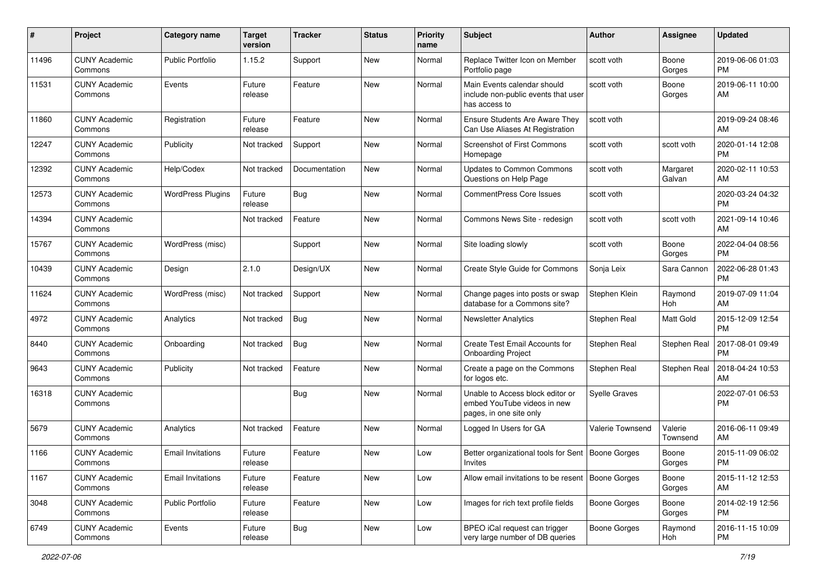| #     | Project                         | <b>Category name</b>     | <b>Target</b><br>version | <b>Tracker</b> | <b>Status</b> | Priority<br>name | Subject                                                                                    | Author               | <b>Assignee</b>     | <b>Updated</b>                |
|-------|---------------------------------|--------------------------|--------------------------|----------------|---------------|------------------|--------------------------------------------------------------------------------------------|----------------------|---------------------|-------------------------------|
| 11496 | <b>CUNY Academic</b><br>Commons | <b>Public Portfolio</b>  | 1.15.2                   | Support        | New           | Normal           | Replace Twitter Icon on Member<br>Portfolio page                                           | scott voth           | Boone<br>Gorges     | 2019-06-06 01:03<br>PM        |
| 11531 | <b>CUNY Academic</b><br>Commons | Events                   | Future<br>release        | Feature        | New           | Normal           | Main Events calendar should<br>include non-public events that user<br>has access to        | scott voth           | Boone<br>Gorges     | 2019-06-11 10:00<br>AM        |
| 11860 | <b>CUNY Academic</b><br>Commons | Registration             | Future<br>release        | Feature        | New           | Normal           | <b>Ensure Students Are Aware They</b><br>Can Use Aliases At Registration                   | scott voth           |                     | 2019-09-24 08:46<br>AM        |
| 12247 | <b>CUNY Academic</b><br>Commons | Publicity                | Not tracked              | Support        | New           | Normal           | Screenshot of First Commons<br>Homepage                                                    | scott voth           | scott voth          | 2020-01-14 12:08<br><b>PM</b> |
| 12392 | <b>CUNY Academic</b><br>Commons | Help/Codex               | Not tracked              | Documentation  | New           | Normal           | Updates to Common Commons<br>Questions on Help Page                                        | scott voth           | Margaret<br>Galvan  | 2020-02-11 10:53<br>AM        |
| 12573 | <b>CUNY Academic</b><br>Commons | <b>WordPress Plugins</b> | Future<br>release        | Bug            | New           | Normal           | <b>CommentPress Core Issues</b>                                                            | scott voth           |                     | 2020-03-24 04:32<br><b>PM</b> |
| 14394 | <b>CUNY Academic</b><br>Commons |                          | Not tracked              | Feature        | New           | Normal           | Commons News Site - redesign                                                               | scott voth           | scott voth          | 2021-09-14 10:46<br>AM        |
| 15767 | <b>CUNY Academic</b><br>Commons | WordPress (misc)         |                          | Support        | New           | Normal           | Site loading slowly                                                                        | scott voth           | Boone<br>Gorges     | 2022-04-04 08:56<br><b>PM</b> |
| 10439 | <b>CUNY Academic</b><br>Commons | Design                   | 2.1.0                    | Design/UX      | New           | Normal           | Create Style Guide for Commons                                                             | Sonja Leix           | Sara Cannon         | 2022-06-28 01:43<br><b>PM</b> |
| 11624 | <b>CUNY Academic</b><br>Commons | WordPress (misc)         | Not tracked              | Support        | New           | Normal           | Change pages into posts or swap<br>database for a Commons site?                            | Stephen Klein        | Raymond<br>Hoh      | 2019-07-09 11:04<br>AM        |
| 4972  | <b>CUNY Academic</b><br>Commons | Analytics                | Not tracked              | Bug            | New           | Normal           | <b>Newsletter Analytics</b>                                                                | Stephen Real         | Matt Gold           | 2015-12-09 12:54<br><b>PM</b> |
| 8440  | <b>CUNY Academic</b><br>Commons | Onboarding               | Not tracked              | Bug            | New           | Normal           | Create Test Email Accounts for<br><b>Onboarding Project</b>                                | Stephen Real         | Stephen Real        | 2017-08-01 09:49<br><b>PM</b> |
| 9643  | <b>CUNY Academic</b><br>Commons | Publicity                | Not tracked              | Feature        | New           | Normal           | Create a page on the Commons<br>for logos etc.                                             | Stephen Real         | Stephen Real        | 2018-04-24 10:53<br>AM        |
| 16318 | <b>CUNY Academic</b><br>Commons |                          |                          | Bug            | New           | Normal           | Unable to Access block editor or<br>embed YouTube videos in new<br>pages, in one site only | <b>Syelle Graves</b> |                     | 2022-07-01 06:53<br><b>PM</b> |
| 5679  | <b>CUNY Academic</b><br>Commons | Analytics                | Not tracked              | Feature        | New           | Normal           | Logged In Users for GA                                                                     | Valerie Townsend     | Valerie<br>Townsend | 2016-06-11 09:49<br>AM        |
| 1166  | <b>CUNY Academic</b><br>Commons | <b>Email Invitations</b> | Future<br>release        | Feature        | New           | Low              | Better organizational tools for Sent   Boone Gorges<br>Invites                             |                      | Boone<br>Gorges     | 2015-11-09 06:02<br>PM        |
| 1167  | <b>CUNY Academic</b><br>Commons | <b>Email Invitations</b> | Future<br>release        | Feature        | New           | Low              | Allow email invitations to be resent   Boone Gorges                                        |                      | Boone<br>Gorges     | 2015-11-12 12:53<br>AM        |
| 3048  | <b>CUNY Academic</b><br>Commons | <b>Public Portfolio</b>  | Future<br>release        | Feature        | New           | Low              | Images for rich text profile fields                                                        | Boone Gorges         | Boone<br>Gorges     | 2014-02-19 12:56<br><b>PM</b> |
| 6749  | <b>CUNY Academic</b><br>Commons | Events                   | Future<br>release        | <b>Bug</b>     | New           | Low              | BPEO iCal request can trigger<br>very large number of DB queries                           | <b>Boone Gorges</b>  | Raymond<br>Hoh      | 2016-11-15 10:09<br><b>PM</b> |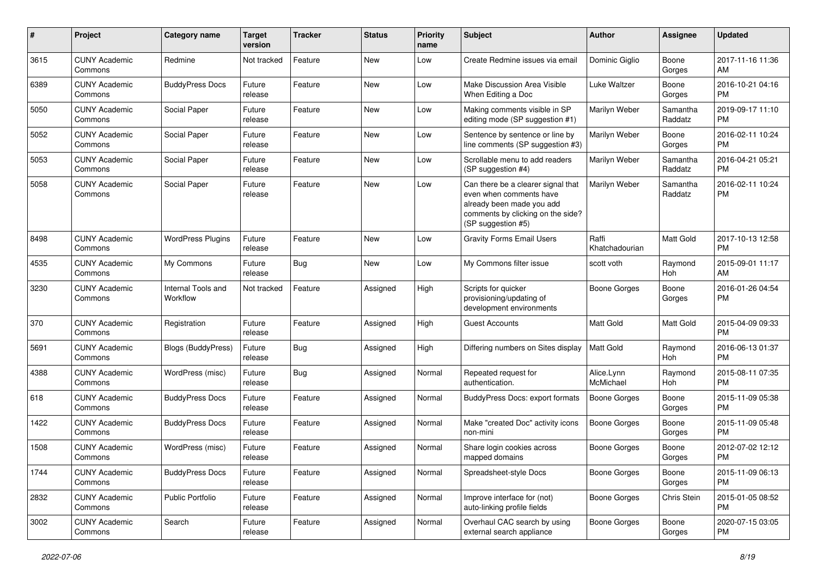| #    | Project                         | <b>Category name</b>           | <b>Target</b><br>version | <b>Tracker</b> | <b>Status</b> | <b>Priority</b><br>name | <b>Subject</b>                                                                                                                                        | Author                  | <b>Assignee</b>     | <b>Updated</b>                |
|------|---------------------------------|--------------------------------|--------------------------|----------------|---------------|-------------------------|-------------------------------------------------------------------------------------------------------------------------------------------------------|-------------------------|---------------------|-------------------------------|
| 3615 | <b>CUNY Academic</b><br>Commons | Redmine                        | Not tracked              | Feature        | New           | Low                     | Create Redmine issues via email                                                                                                                       | Dominic Giglio          | Boone<br>Gorges     | 2017-11-16 11:36<br>AM        |
| 6389 | <b>CUNY Academic</b><br>Commons | <b>BuddyPress Docs</b>         | Future<br>release        | Feature        | New           | Low                     | Make Discussion Area Visible<br>When Editing a Doc                                                                                                    | Luke Waltzer            | Boone<br>Gorges     | 2016-10-21 04:16<br><b>PM</b> |
| 5050 | <b>CUNY Academic</b><br>Commons | Social Paper                   | Future<br>release        | Feature        | New           | Low                     | Making comments visible in SP<br>editing mode (SP suggestion #1)                                                                                      | Marilyn Weber           | Samantha<br>Raddatz | 2019-09-17 11:10<br><b>PM</b> |
| 5052 | <b>CUNY Academic</b><br>Commons | Social Paper                   | Future<br>release        | Feature        | New           | Low                     | Sentence by sentence or line by<br>line comments (SP suggestion #3)                                                                                   | Marilyn Weber           | Boone<br>Gorges     | 2016-02-11 10:24<br><b>PM</b> |
| 5053 | <b>CUNY Academic</b><br>Commons | Social Paper                   | Future<br>release        | Feature        | New           | Low                     | Scrollable menu to add readers<br>(SP suggestion #4)                                                                                                  | Marilyn Weber           | Samantha<br>Raddatz | 2016-04-21 05:21<br><b>PM</b> |
| 5058 | <b>CUNY Academic</b><br>Commons | Social Paper                   | Future<br>release        | Feature        | New           | Low                     | Can there be a clearer signal that<br>even when comments have<br>already been made you add<br>comments by clicking on the side?<br>(SP suggestion #5) | Marilyn Weber           | Samantha<br>Raddatz | 2016-02-11 10:24<br><b>PM</b> |
| 8498 | <b>CUNY Academic</b><br>Commons | <b>WordPress Plugins</b>       | Future<br>release        | Feature        | New           | Low                     | <b>Gravity Forms Email Users</b>                                                                                                                      | Raffi<br>Khatchadourian | Matt Gold           | 2017-10-13 12:58<br><b>PM</b> |
| 4535 | <b>CUNY Academic</b><br>Commons | My Commons                     | Future<br>release        | <b>Bug</b>     | <b>New</b>    | Low                     | My Commons filter issue                                                                                                                               | scott voth              | Raymond<br>Hoh      | 2015-09-01 11:17<br>AM        |
| 3230 | <b>CUNY Academic</b><br>Commons | Internal Tools and<br>Workflow | Not tracked              | Feature        | Assigned      | High                    | Scripts for quicker<br>provisioning/updating of<br>development environments                                                                           | <b>Boone Gorges</b>     | Boone<br>Gorges     | 2016-01-26 04:54<br><b>PM</b> |
| 370  | <b>CUNY Academic</b><br>Commons | Registration                   | Future<br>release        | Feature        | Assigned      | High                    | <b>Guest Accounts</b>                                                                                                                                 | <b>Matt Gold</b>        | Matt Gold           | 2015-04-09 09:33<br><b>PM</b> |
| 5691 | <b>CUNY Academic</b><br>Commons | <b>Blogs (BuddyPress)</b>      | Future<br>release        | <b>Bug</b>     | Assigned      | High                    | Differing numbers on Sites display                                                                                                                    | <b>Matt Gold</b>        | Raymond<br>Hoh      | 2016-06-13 01:37<br><b>PM</b> |
| 4388 | <b>CUNY Academic</b><br>Commons | WordPress (misc)               | Future<br>release        | Bug            | Assigned      | Normal                  | Repeated request for<br>authentication.                                                                                                               | Alice.Lynn<br>McMichael | Raymond<br>Hoh      | 2015-08-11 07:35<br><b>PM</b> |
| 618  | <b>CUNY Academic</b><br>Commons | <b>BuddyPress Docs</b>         | Future<br>release        | Feature        | Assigned      | Normal                  | <b>BuddyPress Docs: export formats</b>                                                                                                                | Boone Gorges            | Boone<br>Gorges     | 2015-11-09 05:38<br><b>PM</b> |
| 1422 | <b>CUNY Academic</b><br>Commons | <b>BuddyPress Docs</b>         | Future<br>release        | Feature        | Assigned      | Normal                  | Make "created Doc" activity icons<br>non-mini                                                                                                         | Boone Gorges            | Boone<br>Gorges     | 2015-11-09 05:48<br><b>PM</b> |
| 1508 | <b>CUNY Academic</b><br>Commons | WordPress (misc)               | Future<br>release        | Feature        | Assigned      | Normal                  | Share login cookies across<br>mapped domains                                                                                                          | Boone Gorges            | Boone<br>Gorges     | 2012-07-02 12:12<br><b>PM</b> |
| 1744 | <b>CUNY Academic</b><br>Commons | <b>BuddyPress Docs</b>         | Future<br>release        | Feature        | Assigned      | Normal                  | Spreadsheet-style Docs                                                                                                                                | <b>Boone Gorges</b>     | Boone<br>Gorges     | 2015-11-09 06:13<br><b>PM</b> |
| 2832 | <b>CUNY Academic</b><br>Commons | Public Portfolio               | Future<br>release        | Feature        | Assigned      | Normal                  | Improve interface for (not)<br>auto-linking profile fields                                                                                            | <b>Boone Gorges</b>     | Chris Stein         | 2015-01-05 08:52<br>PM        |
| 3002 | <b>CUNY Academic</b><br>Commons | Search                         | Future<br>release        | Feature        | Assigned      | Normal                  | Overhaul CAC search by using<br>external search appliance                                                                                             | Boone Gorges            | Boone<br>Gorges     | 2020-07-15 03:05<br>PM        |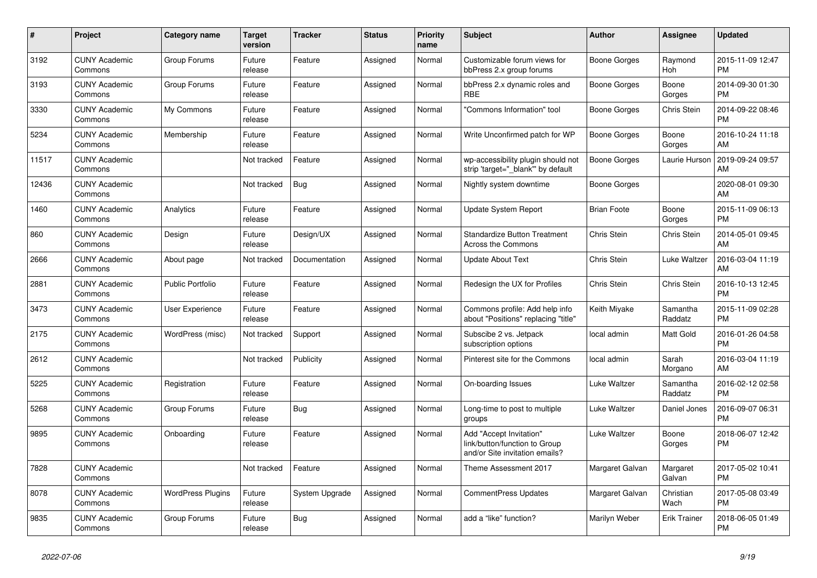| #     | <b>Project</b>                  | <b>Category name</b>     | <b>Target</b><br>version | <b>Tracker</b> | <b>Status</b> | <b>Priority</b><br>name | <b>Subject</b>                                                                             | Author             | Assignee            | <b>Updated</b>                |
|-------|---------------------------------|--------------------------|--------------------------|----------------|---------------|-------------------------|--------------------------------------------------------------------------------------------|--------------------|---------------------|-------------------------------|
| 3192  | <b>CUNY Academic</b><br>Commons | Group Forums             | Future<br>release        | Feature        | Assigned      | Normal                  | Customizable forum views for<br>bbPress 2.x group forums                                   | Boone Gorges       | Raymond<br>Hoh      | 2015-11-09 12:47<br><b>PM</b> |
| 3193  | <b>CUNY Academic</b><br>Commons | Group Forums             | Future<br>release        | Feature        | Assigned      | Normal                  | bbPress 2.x dynamic roles and<br>RBE                                                       | Boone Gorges       | Boone<br>Gorges     | 2014-09-30 01:30<br><b>PM</b> |
| 3330  | <b>CUNY Academic</b><br>Commons | My Commons               | Future<br>release        | Feature        | Assigned      | Normal                  | 'Commons Information" tool                                                                 | Boone Gorges       | Chris Stein         | 2014-09-22 08:46<br><b>PM</b> |
| 5234  | <b>CUNY Academic</b><br>Commons | Membership               | Future<br>release        | Feature        | Assigned      | Normal                  | Write Unconfirmed patch for WP                                                             | Boone Gorges       | Boone<br>Gorges     | 2016-10-24 11:18<br>AM        |
| 11517 | <b>CUNY Academic</b><br>Commons |                          | Not tracked              | Feature        | Assigned      | Normal                  | wp-accessibility plugin should not<br>strip 'target=" blank" by default                    | Boone Gorges       | Laurie Hurson       | 2019-09-24 09:57<br>AM        |
| 12436 | <b>CUNY Academic</b><br>Commons |                          | Not tracked              | <b>Bug</b>     | Assigned      | Normal                  | Nightly system downtime                                                                    | Boone Gorges       |                     | 2020-08-01 09:30<br>AM        |
| 1460  | <b>CUNY Academic</b><br>Commons | Analytics                | Future<br>release        | Feature        | Assigned      | Normal                  | Update System Report                                                                       | <b>Brian Foote</b> | Boone<br>Gorges     | 2015-11-09 06:13<br><b>PM</b> |
| 860   | <b>CUNY Academic</b><br>Commons | Design                   | Future<br>release        | Design/UX      | Assigned      | Normal                  | <b>Standardize Button Treatment</b><br><b>Across the Commons</b>                           | Chris Stein        | <b>Chris Stein</b>  | 2014-05-01 09:45<br>AM        |
| 2666  | <b>CUNY Academic</b><br>Commons | About page               | Not tracked              | Documentation  | Assigned      | Normal                  | <b>Update About Text</b>                                                                   | Chris Stein        | Luke Waltzer        | 2016-03-04 11:19<br>AM        |
| 2881  | <b>CUNY Academic</b><br>Commons | <b>Public Portfolio</b>  | Future<br>release        | Feature        | Assigned      | Normal                  | Redesign the UX for Profiles                                                               | Chris Stein        | Chris Stein         | 2016-10-13 12:45<br><b>PM</b> |
| 3473  | <b>CUNY Academic</b><br>Commons | User Experience          | Future<br>release        | Feature        | Assigned      | Normal                  | Commons profile: Add help info<br>about "Positions" replacing "title"                      | Keith Miyake       | Samantha<br>Raddatz | 2015-11-09 02:28<br><b>PM</b> |
| 2175  | <b>CUNY Academic</b><br>Commons | WordPress (misc)         | Not tracked              | Support        | Assigned      | Normal                  | Subscibe 2 vs. Jetpack<br>subscription options                                             | local admin        | Matt Gold           | 2016-01-26 04:58<br><b>PM</b> |
| 2612  | <b>CUNY Academic</b><br>Commons |                          | Not tracked              | Publicity      | Assigned      | Normal                  | Pinterest site for the Commons                                                             | local admin        | Sarah<br>Morgano    | 2016-03-04 11:19<br>AM        |
| 5225  | <b>CUNY Academic</b><br>Commons | Registration             | Future<br>release        | Feature        | Assigned      | Normal                  | On-boarding Issues                                                                         | Luke Waltzer       | Samantha<br>Raddatz | 2016-02-12 02:58<br><b>PM</b> |
| 5268  | <b>CUNY Academic</b><br>Commons | Group Forums             | Future<br>release        | Bug            | Assigned      | Normal                  | Long-time to post to multiple<br>groups                                                    | Luke Waltzer       | Daniel Jones        | 2016-09-07 06:31<br><b>PM</b> |
| 9895  | <b>CUNY Academic</b><br>Commons | Onboarding               | Future<br>release        | Feature        | Assigned      | Normal                  | Add "Accept Invitation"<br>link/button/function to Group<br>and/or Site invitation emails? | Luke Waltzer       | Boone<br>Gorges     | 2018-06-07 12:42<br><b>PM</b> |
| 7828  | <b>CUNY Academic</b><br>Commons |                          | Not tracked              | Feature        | Assigned      | Normal                  | Theme Assessment 2017                                                                      | Margaret Galvan    | Margaret<br>Galvan  | 2017-05-02 10:41<br><b>PM</b> |
| 8078  | <b>CUNY Academic</b><br>Commons | <b>WordPress Plugins</b> | Future<br>release        | System Upgrade | Assigned      | Normal                  | <b>CommentPress Updates</b>                                                                | Margaret Galvan    | Christian<br>Wach   | 2017-05-08 03:49<br><b>PM</b> |
| 9835  | <b>CUNY Academic</b><br>Commons | Group Forums             | Future<br>release        | Bug            | Assigned      | Normal                  | add a "like" function?                                                                     | Marilyn Weber      | Erik Trainer        | 2018-06-05 01:49<br><b>PM</b> |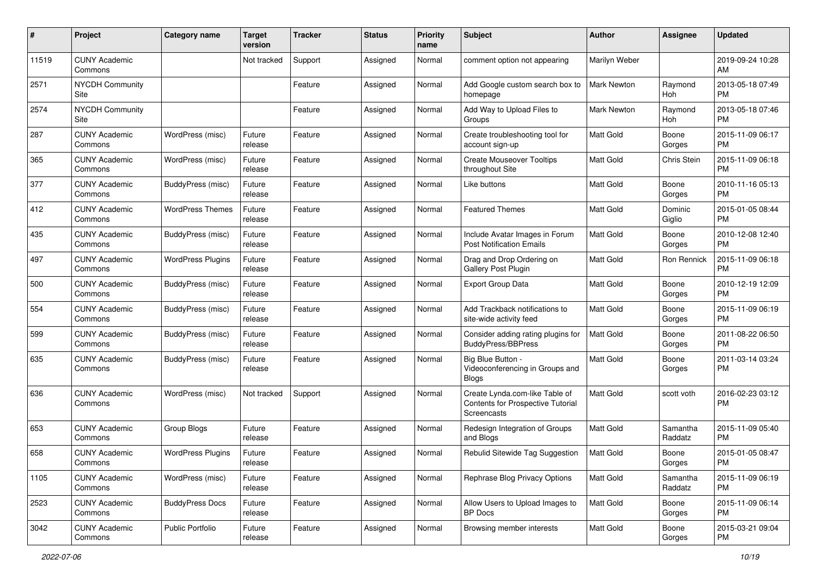| #     | Project                         | <b>Category name</b>     | <b>Target</b><br>version | <b>Tracker</b> | <b>Status</b> | <b>Priority</b><br>name | Subject                                                                            | <b>Author</b>      | <b>Assignee</b>     | <b>Updated</b>                |
|-------|---------------------------------|--------------------------|--------------------------|----------------|---------------|-------------------------|------------------------------------------------------------------------------------|--------------------|---------------------|-------------------------------|
| 11519 | <b>CUNY Academic</b><br>Commons |                          | Not tracked              | Support        | Assigned      | Normal                  | comment option not appearing                                                       | Marilyn Weber      |                     | 2019-09-24 10:28<br>AM        |
| 2571  | <b>NYCDH Community</b><br>Site  |                          |                          | Feature        | Assigned      | Normal                  | Add Google custom search box to<br>homepage                                        | <b>Mark Newton</b> | Raymond<br>Hoh      | 2013-05-18 07:49<br><b>PM</b> |
| 2574  | <b>NYCDH Community</b><br>Site  |                          |                          | Feature        | Assigned      | Normal                  | Add Way to Upload Files to<br>Groups                                               | Mark Newton        | Raymond<br>Hoh      | 2013-05-18 07:46<br><b>PM</b> |
| 287   | <b>CUNY Academic</b><br>Commons | WordPress (misc)         | Future<br>release        | Feature        | Assigned      | Normal                  | Create troubleshooting tool for<br>account sign-up                                 | Matt Gold          | Boone<br>Gorges     | 2015-11-09 06:17<br><b>PM</b> |
| 365   | <b>CUNY Academic</b><br>Commons | WordPress (misc)         | Future<br>release        | Feature        | Assigned      | Normal                  | <b>Create Mouseover Tooltips</b><br>throughout Site                                | <b>Matt Gold</b>   | Chris Stein         | 2015-11-09 06:18<br><b>PM</b> |
| 377   | <b>CUNY Academic</b><br>Commons | BuddyPress (misc)        | Future<br>release        | Feature        | Assigned      | Normal                  | Like buttons                                                                       | <b>Matt Gold</b>   | Boone<br>Gorges     | 2010-11-16 05:13<br><b>PM</b> |
| 412   | <b>CUNY Academic</b><br>Commons | <b>WordPress Themes</b>  | Future<br>release        | Feature        | Assigned      | Normal                  | <b>Featured Themes</b>                                                             | Matt Gold          | Dominic<br>Giglio   | 2015-01-05 08:44<br><b>PM</b> |
| 435   | <b>CUNY Academic</b><br>Commons | BuddyPress (misc)        | Future<br>release        | Feature        | Assigned      | Normal                  | Include Avatar Images in Forum<br><b>Post Notification Emails</b>                  | <b>Matt Gold</b>   | Boone<br>Gorges     | 2010-12-08 12:40<br><b>PM</b> |
| 497   | <b>CUNY Academic</b><br>Commons | <b>WordPress Plugins</b> | Future<br>release        | Feature        | Assigned      | Normal                  | Drag and Drop Ordering on<br>Gallery Post Plugin                                   | <b>Matt Gold</b>   | Ron Rennick         | 2015-11-09 06:18<br><b>PM</b> |
| 500   | <b>CUNY Academic</b><br>Commons | BuddyPress (misc)        | Future<br>release        | Feature        | Assigned      | Normal                  | <b>Export Group Data</b>                                                           | Matt Gold          | Boone<br>Gorges     | 2010-12-19 12:09<br><b>PM</b> |
| 554   | <b>CUNY Academic</b><br>Commons | BuddyPress (misc)        | Future<br>release        | Feature        | Assigned      | Normal                  | Add Trackback notifications to<br>site-wide activity feed                          | Matt Gold          | Boone<br>Gorges     | 2015-11-09 06:19<br><b>PM</b> |
| 599   | <b>CUNY Academic</b><br>Commons | BuddyPress (misc)        | Future<br>release        | Feature        | Assigned      | Normal                  | Consider adding rating plugins for<br><b>BuddyPress/BBPress</b>                    | <b>Matt Gold</b>   | Boone<br>Gorges     | 2011-08-22 06:50<br><b>PM</b> |
| 635   | <b>CUNY Academic</b><br>Commons | BuddyPress (misc)        | Future<br>release        | Feature        | Assigned      | Normal                  | <b>Big Blue Button</b><br>Videoconferencing in Groups and<br><b>Blogs</b>          | Matt Gold          | Boone<br>Gorges     | 2011-03-14 03:24<br><b>PM</b> |
| 636   | <b>CUNY Academic</b><br>Commons | WordPress (misc)         | Not tracked              | Support        | Assigned      | Normal                  | Create Lynda.com-like Table of<br>Contents for Prospective Tutorial<br>Screencasts | <b>Matt Gold</b>   | scott voth          | 2016-02-23 03:12<br><b>PM</b> |
| 653   | <b>CUNY Academic</b><br>Commons | Group Blogs              | Future<br>release        | Feature        | Assigned      | Normal                  | Redesign Integration of Groups<br>and Blogs                                        | Matt Gold          | Samantha<br>Raddatz | 2015-11-09 05:40<br><b>PM</b> |
| 658   | <b>CUNY Academic</b><br>Commons | <b>WordPress Plugins</b> | Future<br>release        | Feature        | Assigned      | Normal                  | Rebulid Sitewide Tag Suggestion                                                    | Matt Gold          | Boone<br>Gorges     | 2015-01-05 08:47<br>PM        |
| 1105  | <b>CUNY Academic</b><br>Commons | WordPress (misc)         | Future<br>release        | Feature        | Assigned      | Normal                  | Rephrase Blog Privacy Options                                                      | Matt Gold          | Samantha<br>Raddatz | 2015-11-09 06:19<br>PM        |
| 2523  | <b>CUNY Academic</b><br>Commons | <b>BuddyPress Docs</b>   | Future<br>release        | Feature        | Assigned      | Normal                  | Allow Users to Upload Images to<br><b>BP</b> Docs                                  | Matt Gold          | Boone<br>Gorges     | 2015-11-09 06:14<br><b>PM</b> |
| 3042  | <b>CUNY Academic</b><br>Commons | <b>Public Portfolio</b>  | Future<br>release        | Feature        | Assigned      | Normal                  | Browsing member interests                                                          | Matt Gold          | Boone<br>Gorges     | 2015-03-21 09:04<br><b>PM</b> |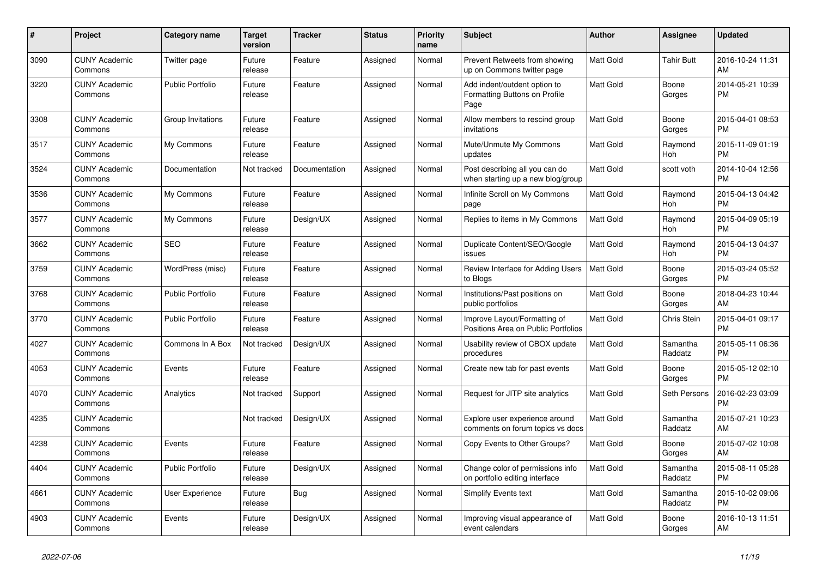| #    | <b>Project</b>                  | <b>Category name</b>    | <b>Target</b><br>version | <b>Tracker</b> | <b>Status</b> | <b>Priority</b><br>name | <b>Subject</b>                                                        | <b>Author</b>    | Assignee            | <b>Updated</b>                |
|------|---------------------------------|-------------------------|--------------------------|----------------|---------------|-------------------------|-----------------------------------------------------------------------|------------------|---------------------|-------------------------------|
| 3090 | <b>CUNY Academic</b><br>Commons | Twitter page            | Future<br>release        | Feature        | Assigned      | Normal                  | Prevent Retweets from showing<br>up on Commons twitter page           | <b>Matt Gold</b> | <b>Tahir Butt</b>   | 2016-10-24 11:31<br>AM        |
| 3220 | <b>CUNY Academic</b><br>Commons | <b>Public Portfolio</b> | Future<br>release        | Feature        | Assigned      | Normal                  | Add indent/outdent option to<br>Formatting Buttons on Profile<br>Page | <b>Matt Gold</b> | Boone<br>Gorges     | 2014-05-21 10:39<br><b>PM</b> |
| 3308 | <b>CUNY Academic</b><br>Commons | Group Invitations       | Future<br>release        | Feature        | Assigned      | Normal                  | Allow members to rescind group<br>invitations                         | <b>Matt Gold</b> | Boone<br>Gorges     | 2015-04-01 08:53<br><b>PM</b> |
| 3517 | <b>CUNY Academic</b><br>Commons | My Commons              | Future<br>release        | Feature        | Assigned      | Normal                  | Mute/Unmute My Commons<br>updates                                     | <b>Matt Gold</b> | Raymond<br>Hoh      | 2015-11-09 01:19<br><b>PM</b> |
| 3524 | <b>CUNY Academic</b><br>Commons | Documentation           | Not tracked              | Documentation  | Assigned      | Normal                  | Post describing all you can do<br>when starting up a new blog/group   | <b>Matt Gold</b> | scott voth          | 2014-10-04 12:56<br><b>PM</b> |
| 3536 | <b>CUNY Academic</b><br>Commons | My Commons              | Future<br>release        | Feature        | Assigned      | Normal                  | Infinite Scroll on My Commons<br>page                                 | <b>Matt Gold</b> | Raymond<br>Hoh      | 2015-04-13 04:42<br><b>PM</b> |
| 3577 | <b>CUNY Academic</b><br>Commons | My Commons              | Future<br>release        | Design/UX      | Assigned      | Normal                  | Replies to items in My Commons                                        | <b>Matt Gold</b> | Raymond<br>Hoh      | 2015-04-09 05:19<br><b>PM</b> |
| 3662 | <b>CUNY Academic</b><br>Commons | <b>SEO</b>              | Future<br>release        | Feature        | Assigned      | Normal                  | Duplicate Content/SEO/Google<br>issues                                | <b>Matt Gold</b> | Raymond<br>Hoh      | 2015-04-13 04:37<br><b>PM</b> |
| 3759 | <b>CUNY Academic</b><br>Commons | WordPress (misc)        | Future<br>release        | Feature        | Assigned      | Normal                  | Review Interface for Adding Users<br>to Blogs                         | l Matt Gold      | Boone<br>Gorges     | 2015-03-24 05:52<br><b>PM</b> |
| 3768 | <b>CUNY Academic</b><br>Commons | <b>Public Portfolio</b> | Future<br>release        | Feature        | Assigned      | Normal                  | Institutions/Past positions on<br>public portfolios                   | <b>Matt Gold</b> | Boone<br>Gorges     | 2018-04-23 10:44<br>AM        |
| 3770 | <b>CUNY Academic</b><br>Commons | <b>Public Portfolio</b> | Future<br>release        | Feature        | Assigned      | Normal                  | Improve Layout/Formatting of<br>Positions Area on Public Portfolios   | Matt Gold        | Chris Stein         | 2015-04-01 09:17<br><b>PM</b> |
| 4027 | <b>CUNY Academic</b><br>Commons | Commons In A Box        | Not tracked              | Design/UX      | Assigned      | Normal                  | Usability review of CBOX update<br>procedures                         | <b>Matt Gold</b> | Samantha<br>Raddatz | 2015-05-11 06:36<br><b>PM</b> |
| 4053 | <b>CUNY Academic</b><br>Commons | Events                  | Future<br>release        | Feature        | Assigned      | Normal                  | Create new tab for past events                                        | <b>Matt Gold</b> | Boone<br>Gorges     | 2015-05-12 02:10<br><b>PM</b> |
| 4070 | <b>CUNY Academic</b><br>Commons | Analytics               | Not tracked              | Support        | Assigned      | Normal                  | Request for JITP site analytics                                       | <b>Matt Gold</b> | Seth Persons        | 2016-02-23 03:09<br><b>PM</b> |
| 4235 | <b>CUNY Academic</b><br>Commons |                         | Not tracked              | Design/UX      | Assigned      | Normal                  | Explore user experience around<br>comments on forum topics vs docs    | <b>Matt Gold</b> | Samantha<br>Raddatz | 2015-07-21 10:23<br>AM        |
| 4238 | <b>CUNY Academic</b><br>Commons | Events                  | Future<br>release        | Feature        | Assigned      | Normal                  | Copy Events to Other Groups?                                          | <b>Matt Gold</b> | Boone<br>Gorges     | 2015-07-02 10:08<br>AM        |
| 4404 | <b>CUNY Academic</b><br>Commons | <b>Public Portfolio</b> | Future<br>release        | Design/UX      | Assigned      | Normal                  | Change color of permissions info<br>on portfolio editing interface    | <b>Matt Gold</b> | Samantha<br>Raddatz | 2015-08-11 05:28<br><b>PM</b> |
| 4661 | <b>CUNY Academic</b><br>Commons | User Experience         | Future<br>release        | Bug            | Assigned      | Normal                  | <b>Simplify Events text</b>                                           | <b>Matt Gold</b> | Samantha<br>Raddatz | 2015-10-02 09:06<br><b>PM</b> |
| 4903 | <b>CUNY Academic</b><br>Commons | Events                  | Future<br>release        | Design/UX      | Assigned      | Normal                  | Improving visual appearance of<br>event calendars                     | <b>Matt Gold</b> | Boone<br>Gorges     | 2016-10-13 11:51<br>AM        |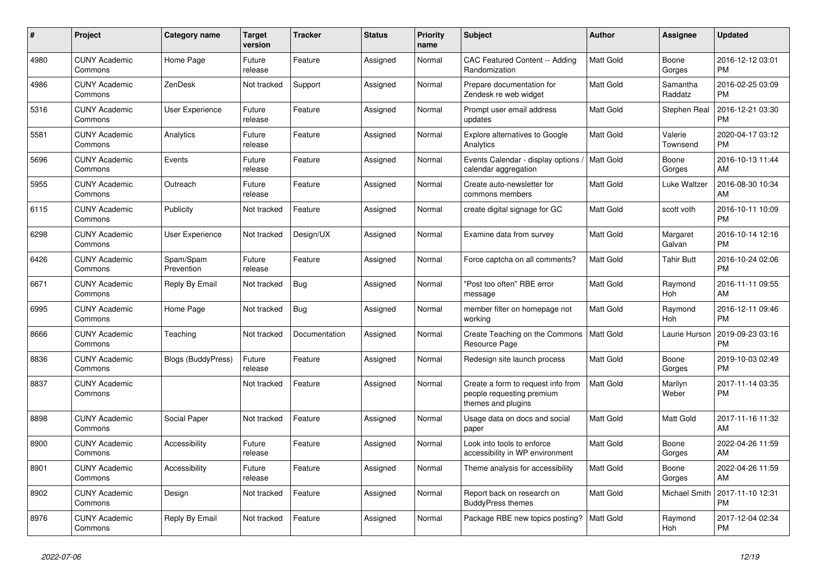| $\pmb{\#}$ | <b>Project</b>                  | <b>Category name</b>    | <b>Target</b><br>version | <b>Tracker</b> | <b>Status</b> | <b>Priority</b><br>name | <b>Subject</b>                                                                        | <b>Author</b>    | Assignee            | <b>Updated</b>                |
|------------|---------------------------------|-------------------------|--------------------------|----------------|---------------|-------------------------|---------------------------------------------------------------------------------------|------------------|---------------------|-------------------------------|
| 4980       | <b>CUNY Academic</b><br>Commons | Home Page               | Future<br>release        | Feature        | Assigned      | Normal                  | <b>CAC Featured Content -- Adding</b><br>Randomization                                | <b>Matt Gold</b> | Boone<br>Gorges     | 2016-12-12 03:01<br><b>PM</b> |
| 4986       | <b>CUNY Academic</b><br>Commons | ZenDesk                 | Not tracked              | Support        | Assigned      | Normal                  | Prepare documentation for<br>Zendesk re web widget                                    | <b>Matt Gold</b> | Samantha<br>Raddatz | 2016-02-25 03:09<br><b>PM</b> |
| 5316       | <b>CUNY Academic</b><br>Commons | User Experience         | Future<br>release        | Feature        | Assigned      | Normal                  | Prompt user email address<br>updates                                                  | Matt Gold        | Stephen Real        | 2016-12-21 03:30<br><b>PM</b> |
| 5581       | <b>CUNY Academic</b><br>Commons | Analytics               | Future<br>release        | Feature        | Assigned      | Normal                  | <b>Explore alternatives to Google</b><br>Analytics                                    | <b>Matt Gold</b> | Valerie<br>Townsend | 2020-04-17 03:12<br><b>PM</b> |
| 5696       | <b>CUNY Academic</b><br>Commons | Events                  | Future<br>release        | Feature        | Assigned      | Normal                  | Events Calendar - display options<br>calendar aggregation                             | Matt Gold        | Boone<br>Gorges     | 2016-10-13 11:44<br>AM        |
| 5955       | <b>CUNY Academic</b><br>Commons | Outreach                | Future<br>release        | Feature        | Assigned      | Normal                  | Create auto-newsletter for<br>commons members                                         | Matt Gold        | Luke Waltzer        | 2016-08-30 10:34<br>AM        |
| 6115       | <b>CUNY Academic</b><br>Commons | Publicity               | Not tracked              | Feature        | Assigned      | Normal                  | create digital signage for GC                                                         | <b>Matt Gold</b> | scott voth          | 2016-10-11 10:09<br><b>PM</b> |
| 6298       | <b>CUNY Academic</b><br>Commons | User Experience         | Not tracked              | Design/UX      | Assigned      | Normal                  | Examine data from survey                                                              | <b>Matt Gold</b> | Margaret<br>Galvan  | 2016-10-14 12:16<br><b>PM</b> |
| 6426       | <b>CUNY Academic</b><br>Commons | Spam/Spam<br>Prevention | Future<br>release        | Feature        | Assigned      | Normal                  | Force captcha on all comments?                                                        | <b>Matt Gold</b> | Tahir Butt          | 2016-10-24 02:06<br><b>PM</b> |
| 6671       | <b>CUNY Academic</b><br>Commons | Reply By Email          | Not tracked              | <b>Bug</b>     | Assigned      | Normal                  | "Post too often" RBE error<br>message                                                 | <b>Matt Gold</b> | Raymond<br>Hoh      | 2016-11-11 09:55<br>AM        |
| 6995       | <b>CUNY Academic</b><br>Commons | Home Page               | Not tracked              | Bug            | Assigned      | Normal                  | member filter on homepage not<br>working                                              | <b>Matt Gold</b> | Raymond<br>Hoh      | 2016-12-11 09:46<br><b>PM</b> |
| 8666       | <b>CUNY Academic</b><br>Commons | Teaching                | Not tracked              | Documentation  | Assigned      | Normal                  | Create Teaching on the Commons<br>Resource Page                                       | Matt Gold        | Laurie Hurson       | 2019-09-23 03:16<br><b>PM</b> |
| 8836       | <b>CUNY Academic</b><br>Commons | Blogs (BuddyPress)      | Future<br>release        | Feature        | Assigned      | Normal                  | Redesign site launch process                                                          | Matt Gold        | Boone<br>Gorges     | 2019-10-03 02:49<br><b>PM</b> |
| 8837       | <b>CUNY Academic</b><br>Commons |                         | Not tracked              | Feature        | Assigned      | Normal                  | Create a form to request info from<br>people requesting premium<br>themes and plugins | <b>Matt Gold</b> | Marilyn<br>Weber    | 2017-11-14 03:35<br><b>PM</b> |
| 8898       | <b>CUNY Academic</b><br>Commons | Social Paper            | Not tracked              | Feature        | Assigned      | Normal                  | Usage data on docs and social<br>paper                                                | <b>Matt Gold</b> | Matt Gold           | 2017-11-16 11:32<br>AM        |
| 8900       | <b>CUNY Academic</b><br>Commons | Accessibility           | Future<br>release        | Feature        | Assigned      | Normal                  | Look into tools to enforce<br>accessibility in WP environment                         | <b>Matt Gold</b> | Boone<br>Gorges     | 2022-04-26 11:59<br>AM        |
| 8901       | <b>CUNY Academic</b><br>Commons | Accessibility           | Future<br>release        | Feature        | Assigned      | Normal                  | Theme analysis for accessibility                                                      | Matt Gold        | Boone<br>Gorges     | 2022-04-26 11:59<br>AM        |
| 8902       | <b>CUNY Academic</b><br>Commons | Design                  | Not tracked              | Feature        | Assigned      | Normal                  | Report back on research on<br><b>BuddyPress themes</b>                                | Matt Gold        | Michael Smith       | 2017-11-10 12:31<br><b>PM</b> |
| 8976       | <b>CUNY Academic</b><br>Commons | Reply By Email          | Not tracked              | Feature        | Assigned      | Normal                  | Package RBE new topics posting?                                                       | <b>Matt Gold</b> | Raymond<br>Hoh      | 2017-12-04 02:34<br><b>PM</b> |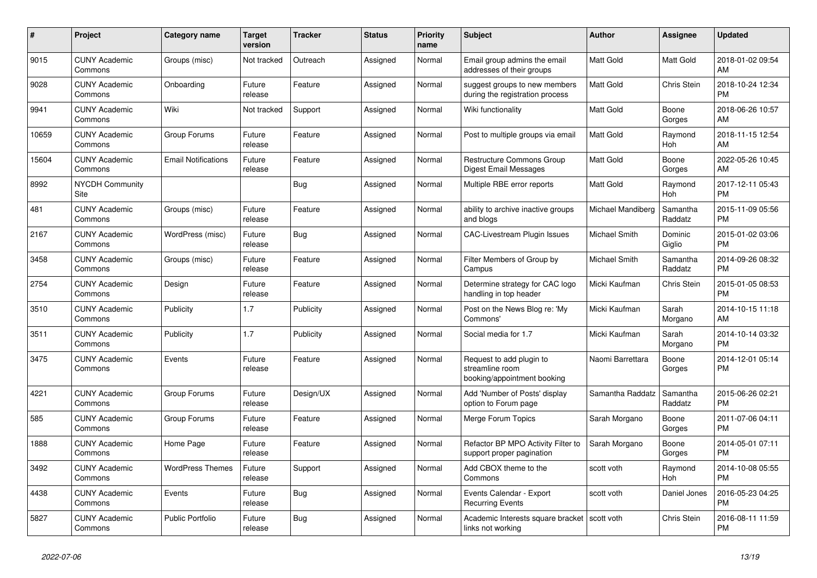| #     | <b>Project</b>                  | <b>Category name</b>       | <b>Target</b><br>version | <b>Tracker</b> | <b>Status</b> | <b>Priority</b><br>name | <b>Subject</b>                                                             | <b>Author</b>        | Assignee            | <b>Updated</b>                |
|-------|---------------------------------|----------------------------|--------------------------|----------------|---------------|-------------------------|----------------------------------------------------------------------------|----------------------|---------------------|-------------------------------|
| 9015  | <b>CUNY Academic</b><br>Commons | Groups (misc)              | Not tracked              | Outreach       | Assigned      | Normal                  | Email group admins the email<br>addresses of their groups                  | <b>Matt Gold</b>     | Matt Gold           | 2018-01-02 09:54<br>AM        |
| 9028  | <b>CUNY Academic</b><br>Commons | Onboarding                 | Future<br>release        | Feature        | Assigned      | Normal                  | suggest groups to new members<br>during the registration process           | <b>Matt Gold</b>     | Chris Stein         | 2018-10-24 12:34<br><b>PM</b> |
| 9941  | <b>CUNY Academic</b><br>Commons | Wiki                       | Not tracked              | Support        | Assigned      | Normal                  | Wiki functionality                                                         | <b>Matt Gold</b>     | Boone<br>Gorges     | 2018-06-26 10:57<br>AM        |
| 10659 | <b>CUNY Academic</b><br>Commons | Group Forums               | Future<br>release        | Feature        | Assigned      | Normal                  | Post to multiple groups via email                                          | <b>Matt Gold</b>     | Raymond<br>Hoh      | 2018-11-15 12:54<br>AM        |
| 15604 | <b>CUNY Academic</b><br>Commons | <b>Email Notifications</b> | Future<br>release        | Feature        | Assigned      | Normal                  | Restructure Commons Group<br>Digest Email Messages                         | <b>Matt Gold</b>     | Boone<br>Gorges     | 2022-05-26 10:45<br>AM        |
| 8992  | <b>NYCDH Community</b><br>Site  |                            |                          | Bug            | Assigned      | Normal                  | Multiple RBE error reports                                                 | Matt Gold            | Raymond<br>Hoh      | 2017-12-11 05:43<br><b>PM</b> |
| 481   | <b>CUNY Academic</b><br>Commons | Groups (misc)              | Future<br>release        | Feature        | Assigned      | Normal                  | ability to archive inactive groups<br>and blogs                            | Michael Mandiberg    | Samantha<br>Raddatz | 2015-11-09 05:56<br><b>PM</b> |
| 2167  | <b>CUNY Academic</b><br>Commons | WordPress (misc)           | Future<br>release        | <b>Bug</b>     | Assigned      | Normal                  | <b>CAC-Livestream Plugin Issues</b>                                        | <b>Michael Smith</b> | Dominic<br>Giglio   | 2015-01-02 03:06<br><b>PM</b> |
| 3458  | <b>CUNY Academic</b><br>Commons | Groups (misc)              | Future<br>release        | Feature        | Assigned      | Normal                  | Filter Members of Group by<br>Campus                                       | Michael Smith        | Samantha<br>Raddatz | 2014-09-26 08:32<br><b>PM</b> |
| 2754  | <b>CUNY Academic</b><br>Commons | Design                     | Future<br>release        | Feature        | Assigned      | Normal                  | Determine strategy for CAC logo<br>handling in top header                  | Micki Kaufman        | Chris Stein         | 2015-01-05 08:53<br><b>PM</b> |
| 3510  | <b>CUNY Academic</b><br>Commons | Publicity                  | 1.7                      | Publicity      | Assigned      | Normal                  | Post on the News Blog re: 'My<br>Commons'                                  | Micki Kaufman        | Sarah<br>Morgano    | 2014-10-15 11:18<br>AM        |
| 3511  | <b>CUNY Academic</b><br>Commons | Publicity                  | 1.7                      | Publicity      | Assigned      | Normal                  | Social media for 1.7                                                       | Micki Kaufman        | Sarah<br>Morgano    | 2014-10-14 03:32<br><b>PM</b> |
| 3475  | <b>CUNY Academic</b><br>Commons | Events                     | Future<br>release        | Feature        | Assigned      | Normal                  | Request to add plugin to<br>streamline room<br>booking/appointment booking | Naomi Barrettara     | Boone<br>Gorges     | 2014-12-01 05:14<br><b>PM</b> |
| 4221  | <b>CUNY Academic</b><br>Commons | Group Forums               | Future<br>release        | Design/UX      | Assigned      | Normal                  | Add 'Number of Posts' display<br>option to Forum page                      | Samantha Raddatz     | Samantha<br>Raddatz | 2015-06-26 02:21<br><b>PM</b> |
| 585   | <b>CUNY Academic</b><br>Commons | Group Forums               | Future<br>release        | Feature        | Assigned      | Normal                  | Merge Forum Topics                                                         | Sarah Morgano        | Boone<br>Gorges     | 2011-07-06 04:11<br><b>PM</b> |
| 1888  | <b>CUNY Academic</b><br>Commons | Home Page                  | Future<br>release        | Feature        | Assigned      | Normal                  | Refactor BP MPO Activity Filter to<br>support proper pagination            | Sarah Morgano        | Boone<br>Gorges     | 2014-05-01 07:11<br><b>PM</b> |
| 3492  | <b>CUNY Academic</b><br>Commons | <b>WordPress Themes</b>    | Future<br>release        | Support        | Assigned      | Normal                  | Add CBOX theme to the<br>Commons                                           | scott voth           | Raymond<br>Hoh      | 2014-10-08 05:55<br><b>PM</b> |
| 4438  | <b>CUNY Academic</b><br>Commons | Events                     | Future<br>release        | Bug            | Assigned      | Normal                  | Events Calendar - Export<br><b>Recurring Events</b>                        | scott voth           | Daniel Jones        | 2016-05-23 04:25<br><b>PM</b> |
| 5827  | <b>CUNY Academic</b><br>Commons | Public Portfolio           | Future<br>release        | <b>Bug</b>     | Assigned      | Normal                  | Academic Interests square bracket   scott voth<br>links not working        |                      | Chris Stein         | 2016-08-11 11:59<br><b>PM</b> |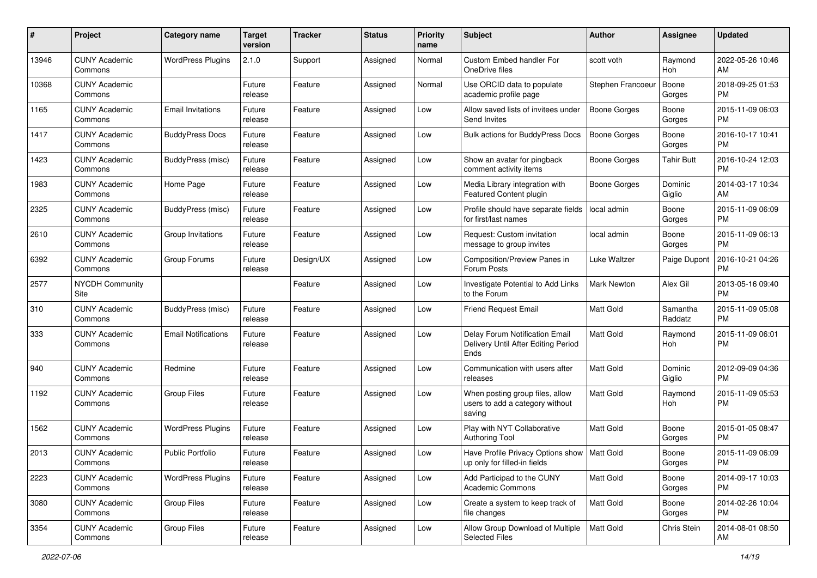| #     | Project                         | <b>Category name</b>       | <b>Target</b><br>version | <b>Tracker</b> | <b>Status</b> | <b>Priority</b><br>name | Subject                                                                       | Author            | Assignee            | <b>Updated</b>                |
|-------|---------------------------------|----------------------------|--------------------------|----------------|---------------|-------------------------|-------------------------------------------------------------------------------|-------------------|---------------------|-------------------------------|
| 13946 | <b>CUNY Academic</b><br>Commons | <b>WordPress Plugins</b>   | 2.1.0                    | Support        | Assigned      | Normal                  | Custom Embed handler For<br>OneDrive files                                    | scott voth        | Raymond<br>Hoh      | 2022-05-26 10:46<br>AM        |
| 10368 | <b>CUNY Academic</b><br>Commons |                            | Future<br>release        | Feature        | Assigned      | Normal                  | Use ORCID data to populate<br>academic profile page                           | Stephen Francoeur | Boone<br>Gorges     | 2018-09-25 01:53<br>PM        |
| 1165  | CUNY Academic<br>Commons        | <b>Email Invitations</b>   | Future<br>release        | Feature        | Assigned      | Low                     | Allow saved lists of invitees under<br>Send Invites                           | Boone Gorges      | Boone<br>Gorges     | 2015-11-09 06:03<br>PM        |
| 1417  | <b>CUNY Academic</b><br>Commons | <b>BuddyPress Docs</b>     | Future<br>release        | Feature        | Assigned      | Low                     | <b>Bulk actions for BuddyPress Docs</b>                                       | Boone Gorges      | Boone<br>Gorges     | 2016-10-17 10:41<br>PM        |
| 1423  | <b>CUNY Academic</b><br>Commons | BuddyPress (misc)          | Future<br>release        | Feature        | Assigned      | Low                     | Show an avatar for pingback<br>comment activity items                         | Boone Gorges      | <b>Tahir Butt</b>   | 2016-10-24 12:03<br><b>PM</b> |
| 1983  | <b>CUNY Academic</b><br>Commons | Home Page                  | Future<br>release        | Feature        | Assigned      | Low                     | Media Library integration with<br>Featured Content plugin                     | Boone Gorges      | Dominic<br>Giglio   | 2014-03-17 10:34<br>AM        |
| 2325  | <b>CUNY Academic</b><br>Commons | BuddyPress (misc)          | Future<br>release        | Feature        | Assigned      | Low                     | Profile should have separate fields<br>for first/last names                   | local admin       | Boone<br>Gorges     | 2015-11-09 06:09<br><b>PM</b> |
| 2610  | <b>CUNY Academic</b><br>Commons | Group Invitations          | Future<br>release        | Feature        | Assigned      | Low                     | Request: Custom invitation<br>message to group invites                        | local admin       | Boone<br>Gorges     | 2015-11-09 06:13<br>PM        |
| 6392  | <b>CUNY Academic</b><br>Commons | Group Forums               | Future<br>release        | Design/UX      | Assigned      | Low                     | Composition/Preview Panes in<br>Forum Posts                                   | Luke Waltzer      | Paige Dupont        | 2016-10-21 04:26<br><b>PM</b> |
| 2577  | <b>NYCDH Community</b><br>Site  |                            |                          | Feature        | Assigned      | Low                     | Investigate Potential to Add Links<br>to the Forum                            | Mark Newton       | Alex Gil            | 2013-05-16 09:40<br>PM        |
| 310   | <b>CUNY Academic</b><br>Commons | BuddyPress (misc)          | Future<br>release        | Feature        | Assigned      | Low                     | <b>Friend Request Email</b>                                                   | <b>Matt Gold</b>  | Samantha<br>Raddatz | 2015-11-09 05:08<br>PM        |
| 333   | CUNY Academic<br>Commons        | <b>Email Notifications</b> | Future<br>release        | Feature        | Assigned      | Low                     | Delay Forum Notification Email<br>Delivery Until After Editing Period<br>Ends | <b>Matt Gold</b>  | Raymond<br>Hoh      | 2015-11-09 06:01<br>PM        |
| 940   | <b>CUNY Academic</b><br>Commons | Redmine                    | Future<br>release        | Feature        | Assigned      | Low                     | Communication with users after<br>releases                                    | <b>Matt Gold</b>  | Dominic<br>Giglio   | 2012-09-09 04:36<br>PM        |
| 1192  | <b>CUNY Academic</b><br>Commons | <b>Group Files</b>         | Future<br>release        | Feature        | Assigned      | Low                     | When posting group files, allow<br>users to add a category without<br>saving  | <b>Matt Gold</b>  | Raymond<br>Hoh      | 2015-11-09 05:53<br>PM        |
| 1562  | <b>CUNY Academic</b><br>Commons | <b>WordPress Plugins</b>   | Future<br>release        | Feature        | Assigned      | Low                     | Play with NYT Collaborative<br><b>Authoring Tool</b>                          | <b>Matt Gold</b>  | Boone<br>Gorges     | 2015-01-05 08:47<br>PM        |
| 2013  | <b>CUNY Academic</b><br>Commons | <b>Public Portfolio</b>    | Future<br>release        | Feature        | Assigned      | Low                     | Have Profile Privacy Options show   Matt Gold<br>up only for filled-in fields |                   | Boone<br>Gorges     | 2015-11-09 06:09<br>PM        |
| 2223  | <b>CUNY Academic</b><br>Commons | <b>WordPress Plugins</b>   | Future<br>release        | Feature        | Assigned      | Low                     | Add Participad to the CUNY<br>Academic Commons                                | Matt Gold         | Boone<br>Gorges     | 2014-09-17 10:03<br><b>PM</b> |
| 3080  | <b>CUNY Academic</b><br>Commons | <b>Group Files</b>         | Future<br>release        | Feature        | Assigned      | Low                     | Create a system to keep track of<br>file changes                              | Matt Gold         | Boone<br>Gorges     | 2014-02-26 10:04<br><b>PM</b> |
| 3354  | <b>CUNY Academic</b><br>Commons | Group Files                | Future<br>release        | Feature        | Assigned      | Low                     | Allow Group Download of Multiple<br><b>Selected Files</b>                     | Matt Gold         | Chris Stein         | 2014-08-01 08:50<br>AM        |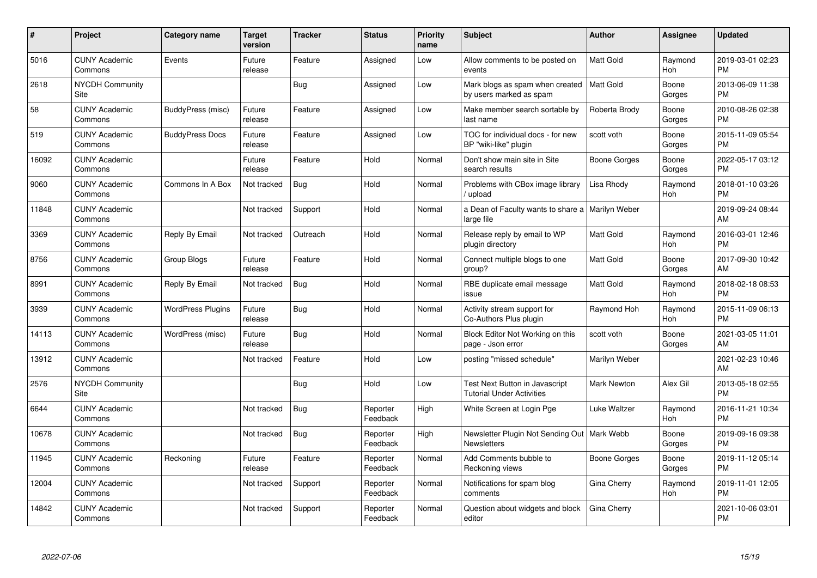| #     | Project                         | Category name            | <b>Target</b><br>version | <b>Tracker</b> | <b>Status</b>        | <b>Priority</b><br>name | <b>Subject</b>                                                      | Author              | <b>Assignee</b> | <b>Updated</b>                |
|-------|---------------------------------|--------------------------|--------------------------|----------------|----------------------|-------------------------|---------------------------------------------------------------------|---------------------|-----------------|-------------------------------|
| 5016  | <b>CUNY Academic</b><br>Commons | Events                   | Future<br>release        | Feature        | Assigned             | Low                     | Allow comments to be posted on<br>events                            | <b>Matt Gold</b>    | Raymond<br>Hoh  | 2019-03-01 02:23<br><b>PM</b> |
| 2618  | <b>NYCDH Community</b><br>Site  |                          |                          | <b>Bug</b>     | Assigned             | Low                     | Mark blogs as spam when created<br>by users marked as spam          | <b>Matt Gold</b>    | Boone<br>Gorges | 2013-06-09 11:38<br><b>PM</b> |
| 58    | <b>CUNY Academic</b><br>Commons | BuddyPress (misc)        | Future<br>release        | Feature        | Assigned             | Low                     | Make member search sortable by<br>last name                         | Roberta Brody       | Boone<br>Gorges | 2010-08-26 02:38<br><b>PM</b> |
| 519   | <b>CUNY Academic</b><br>Commons | <b>BuddyPress Docs</b>   | Future<br>release        | Feature        | Assigned             | Low                     | TOC for individual docs - for new<br>BP "wiki-like" plugin          | scott voth          | Boone<br>Gorges | 2015-11-09 05:54<br><b>PM</b> |
| 16092 | <b>CUNY Academic</b><br>Commons |                          | Future<br>release        | Feature        | Hold                 | Normal                  | Don't show main site in Site<br>search results                      | Boone Gorges        | Boone<br>Gorges | 2022-05-17 03:12<br><b>PM</b> |
| 9060  | <b>CUNY Academic</b><br>Commons | Commons In A Box         | Not tracked              | Bug            | Hold                 | Normal                  | Problems with CBox image library<br>upload                          | Lisa Rhody          | Raymond<br>Hoh  | 2018-01-10 03:26<br><b>PM</b> |
| 11848 | <b>CUNY Academic</b><br>Commons |                          | Not tracked              | Support        | Hold                 | Normal                  | a Dean of Faculty wants to share a   Marilyn Weber<br>large file    |                     |                 | 2019-09-24 08:44<br>AM        |
| 3369  | <b>CUNY Academic</b><br>Commons | Reply By Email           | Not tracked              | Outreach       | Hold                 | Normal                  | Release reply by email to WP<br>plugin directory                    | <b>Matt Gold</b>    | Raymond<br>Hoh  | 2016-03-01 12:46<br><b>PM</b> |
| 8756  | <b>CUNY Academic</b><br>Commons | Group Blogs              | Future<br>release        | Feature        | Hold                 | Normal                  | Connect multiple blogs to one<br>group?                             | <b>Matt Gold</b>    | Boone<br>Gorges | 2017-09-30 10:42<br>AM        |
| 8991  | <b>CUNY Academic</b><br>Commons | Reply By Email           | Not tracked              | Bug            | Hold                 | Normal                  | RBE duplicate email message<br>issue                                | <b>Matt Gold</b>    | Raymond<br>Hoh  | 2018-02-18 08:53<br><b>PM</b> |
| 3939  | <b>CUNY Academic</b><br>Commons | <b>WordPress Plugins</b> | Future<br>release        | Bug            | Hold                 | Normal                  | Activity stream support for<br>Co-Authors Plus plugin               | Raymond Hoh         | Raymond<br>Hoh  | 2015-11-09 06:13<br><b>PM</b> |
| 14113 | <b>CUNY Academic</b><br>Commons | WordPress (misc)         | Future<br>release        | <b>Bug</b>     | Hold                 | Normal                  | Block Editor Not Working on this<br>page - Json error               | scott voth          | Boone<br>Gorges | 2021-03-05 11:01<br>AM        |
| 13912 | <b>CUNY Academic</b><br>Commons |                          | Not tracked              | Feature        | Hold                 | Low                     | posting "missed schedule"                                           | Marilyn Weber       |                 | 2021-02-23 10:46<br>AM        |
| 2576  | <b>NYCDH Community</b><br>Site  |                          |                          | Bug            | Hold                 | Low                     | Test Next Button in Javascript<br><b>Tutorial Under Activities</b>  | Mark Newton         | Alex Gil        | 2013-05-18 02:55<br><b>PM</b> |
| 6644  | <b>CUNY Academic</b><br>Commons |                          | Not tracked              | <b>Bug</b>     | Reporter<br>Feedback | High                    | White Screen at Login Pge                                           | Luke Waltzer        | Raymond<br>Hoh  | 2016-11-21 10:34<br><b>PM</b> |
| 10678 | <b>CUNY Academic</b><br>Commons |                          | Not tracked              | Bug            | Reporter<br>Feedback | High                    | Newsletter Plugin Not Sending Out   Mark Webb<br><b>Newsletters</b> |                     | Boone<br>Gorges | 2019-09-16 09:38<br><b>PM</b> |
| 11945 | <b>CUNY Academic</b><br>Commons | Reckoning                | Future<br>release        | Feature        | Reporter<br>Feedback | Normal                  | Add Comments bubble to<br>Reckoning views                           | <b>Boone Gorges</b> | Boone<br>Gorges | 2019-11-12 05:14<br><b>PM</b> |
| 12004 | <b>CUNY Academic</b><br>Commons |                          | Not tracked              | Support        | Reporter<br>Feedback | Normal                  | Notifications for spam blog<br>comments                             | Gina Cherry         | Raymond<br>Hoh  | 2019-11-01 12:05<br><b>PM</b> |
| 14842 | <b>CUNY Academic</b><br>Commons |                          | Not tracked              | Support        | Reporter<br>Feedback | Normal                  | Question about widgets and block<br>editor                          | Gina Cherry         |                 | 2021-10-06 03:01<br><b>PM</b> |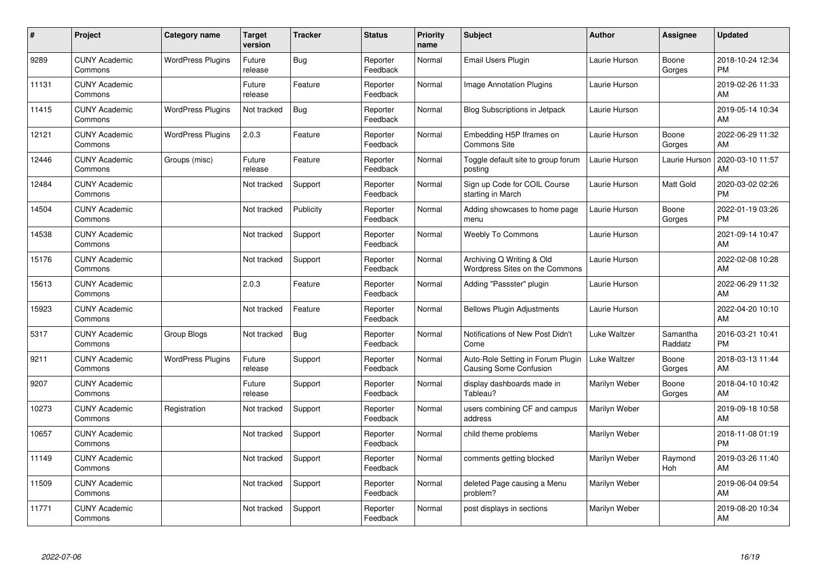| #     | Project                         | <b>Category name</b>     | <b>Target</b><br>version | <b>Tracker</b> | <b>Status</b>        | <b>Priority</b><br>name | <b>Subject</b>                                                     | <b>Author</b> | Assignee            | <b>Updated</b>                |
|-------|---------------------------------|--------------------------|--------------------------|----------------|----------------------|-------------------------|--------------------------------------------------------------------|---------------|---------------------|-------------------------------|
| 9289  | <b>CUNY Academic</b><br>Commons | <b>WordPress Plugins</b> | Future<br>release        | Bug            | Reporter<br>Feedback | Normal                  | <b>Email Users Plugin</b>                                          | Laurie Hurson | Boone<br>Gorges     | 2018-10-24 12:34<br><b>PM</b> |
| 11131 | <b>CUNY Academic</b><br>Commons |                          | Future<br>release        | Feature        | Reporter<br>Feedback | Normal                  | <b>Image Annotation Plugins</b>                                    | Laurie Hurson |                     | 2019-02-26 11:33<br>AM        |
| 11415 | <b>CUNY Academic</b><br>Commons | <b>WordPress Plugins</b> | Not tracked              | <b>Bug</b>     | Reporter<br>Feedback | Normal                  | Blog Subscriptions in Jetpack                                      | Laurie Hurson |                     | 2019-05-14 10:34<br>AM        |
| 12121 | <b>CUNY Academic</b><br>Commons | <b>WordPress Plugins</b> | 2.0.3                    | Feature        | Reporter<br>Feedback | Normal                  | Embedding H5P Iframes on<br>Commons Site                           | Laurie Hurson | Boone<br>Gorges     | 2022-06-29 11:32<br>AM        |
| 12446 | <b>CUNY Academic</b><br>Commons | Groups (misc)            | Future<br>release        | Feature        | Reporter<br>Feedback | Normal                  | Toggle default site to group forum<br>posting                      | Laurie Hurson | Laurie Hurson       | 2020-03-10 11:57<br>AM        |
| 12484 | <b>CUNY Academic</b><br>Commons |                          | Not tracked              | Support        | Reporter<br>Feedback | Normal                  | Sign up Code for COIL Course<br>starting in March                  | Laurie Hurson | Matt Gold           | 2020-03-02 02:26<br><b>PM</b> |
| 14504 | <b>CUNY Academic</b><br>Commons |                          | Not tracked              | Publicity      | Reporter<br>Feedback | Normal                  | Adding showcases to home page<br>menu                              | Laurie Hurson | Boone<br>Gorges     | 2022-01-19 03:26<br><b>PM</b> |
| 14538 | <b>CUNY Academic</b><br>Commons |                          | Not tracked              | Support        | Reporter<br>Feedback | Normal                  | Weebly To Commons                                                  | Laurie Hurson |                     | 2021-09-14 10:47<br>AM        |
| 15176 | <b>CUNY Academic</b><br>Commons |                          | Not tracked              | Support        | Reporter<br>Feedback | Normal                  | Archiving Q Writing & Old<br>Wordpress Sites on the Commons        | Laurie Hurson |                     | 2022-02-08 10:28<br>AM        |
| 15613 | <b>CUNY Academic</b><br>Commons |                          | 2.0.3                    | Feature        | Reporter<br>Feedback | Normal                  | Adding "Passster" plugin                                           | Laurie Hurson |                     | 2022-06-29 11:32<br>AM        |
| 15923 | <b>CUNY Academic</b><br>Commons |                          | Not tracked              | Feature        | Reporter<br>Feedback | Normal                  | <b>Bellows Plugin Adjustments</b>                                  | Laurie Hurson |                     | 2022-04-20 10:10<br>AM        |
| 5317  | <b>CUNY Academic</b><br>Commons | Group Blogs              | Not tracked              | <b>Bug</b>     | Reporter<br>Feedback | Normal                  | Notifications of New Post Didn't<br>Come                           | Luke Waltzer  | Samantha<br>Raddatz | 2016-03-21 10:41<br><b>PM</b> |
| 9211  | <b>CUNY Academic</b><br>Commons | <b>WordPress Plugins</b> | Future<br>release        | Support        | Reporter<br>Feedback | Normal                  | Auto-Role Setting in Forum Plugin<br><b>Causing Some Confusion</b> | Luke Waltzer  | Boone<br>Gorges     | 2018-03-13 11:44<br>AM        |
| 9207  | <b>CUNY Academic</b><br>Commons |                          | Future<br>release        | Support        | Reporter<br>Feedback | Normal                  | display dashboards made in<br>Tableau?                             | Marilyn Weber | Boone<br>Gorges     | 2018-04-10 10:42<br>AM        |
| 10273 | <b>CUNY Academic</b><br>Commons | Registration             | Not tracked              | Support        | Reporter<br>Feedback | Normal                  | users combining CF and campus<br>address                           | Marilyn Weber |                     | 2019-09-18 10:58<br>AM        |
| 10657 | <b>CUNY Academic</b><br>Commons |                          | Not tracked              | Support        | Reporter<br>Feedback | Normal                  | child theme problems                                               | Marilyn Weber |                     | 2018-11-08 01:19<br><b>PM</b> |
| 11149 | <b>CUNY Academic</b><br>Commons |                          | Not tracked              | Support        | Reporter<br>Feedback | Normal                  | comments getting blocked                                           | Marilyn Weber | Raymond<br>Hoh      | 2019-03-26 11:40<br>AM        |
| 11509 | <b>CUNY Academic</b><br>Commons |                          | Not tracked              | Support        | Reporter<br>Feedback | Normal                  | deleted Page causing a Menu<br>problem?                            | Marilyn Weber |                     | 2019-06-04 09:54<br>AM        |
| 11771 | <b>CUNY Academic</b><br>Commons |                          | Not tracked              | Support        | Reporter<br>Feedback | Normal                  | post displays in sections                                          | Marilyn Weber |                     | 2019-08-20 10:34<br>AM        |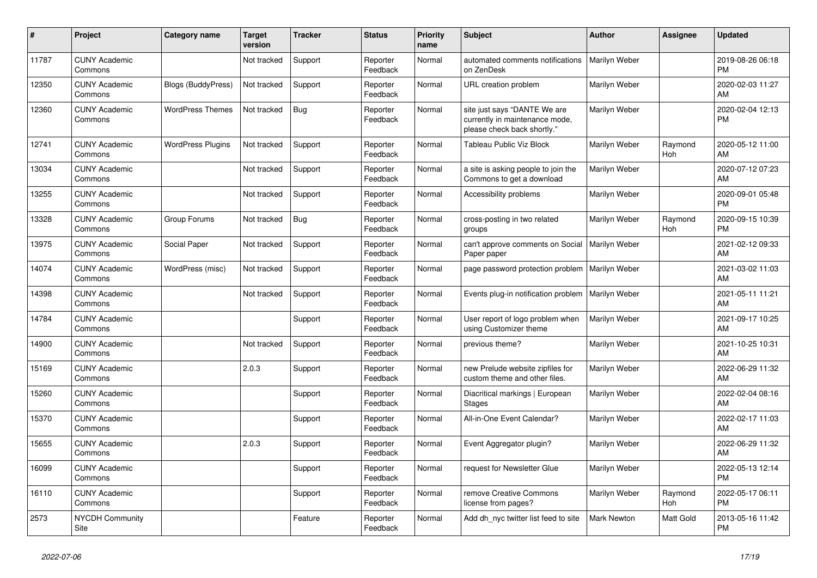| #     | Project                         | Category name             | <b>Target</b><br>version | <b>Tracker</b> | <b>Status</b>        | Priority<br>name | <b>Subject</b>                                                                                | <b>Author</b>      | Assignee       | <b>Updated</b>                |
|-------|---------------------------------|---------------------------|--------------------------|----------------|----------------------|------------------|-----------------------------------------------------------------------------------------------|--------------------|----------------|-------------------------------|
| 11787 | <b>CUNY Academic</b><br>Commons |                           | Not tracked              | Support        | Reporter<br>Feedback | Normal           | automated comments notifications<br>on ZenDesk                                                | Marilyn Weber      |                | 2019-08-26 06:18<br><b>PM</b> |
| 12350 | <b>CUNY Academic</b><br>Commons | <b>Blogs (BuddyPress)</b> | Not tracked              | Support        | Reporter<br>Feedback | Normal           | URL creation problem                                                                          | Marilyn Weber      |                | 2020-02-03 11:27<br>AM        |
| 12360 | <b>CUNY Academic</b><br>Commons | <b>WordPress Themes</b>   | Not tracked              | Bug            | Reporter<br>Feedback | Normal           | site just says "DANTE We are<br>currently in maintenance mode,<br>please check back shortly." | Marilyn Weber      |                | 2020-02-04 12:13<br><b>PM</b> |
| 12741 | <b>CUNY Academic</b><br>Commons | <b>WordPress Plugins</b>  | Not tracked              | Support        | Reporter<br>Feedback | Normal           | Tableau Public Viz Block                                                                      | Marilyn Weber      | Raymond<br>Hoh | 2020-05-12 11:00<br>AM        |
| 13034 | <b>CUNY Academic</b><br>Commons |                           | Not tracked              | Support        | Reporter<br>Feedback | Normal           | a site is asking people to join the<br>Commons to get a download                              | Marilyn Weber      |                | 2020-07-12 07:23<br>AM        |
| 13255 | <b>CUNY Academic</b><br>Commons |                           | Not tracked              | Support        | Reporter<br>Feedback | Normal           | Accessibility problems                                                                        | Marilyn Weber      |                | 2020-09-01 05:48<br><b>PM</b> |
| 13328 | <b>CUNY Academic</b><br>Commons | Group Forums              | Not tracked              | <b>Bug</b>     | Reporter<br>Feedback | Normal           | cross-posting in two related<br>groups                                                        | Marilyn Weber      | Raymond<br>Hoh | 2020-09-15 10:39<br><b>PM</b> |
| 13975 | <b>CUNY Academic</b><br>Commons | Social Paper              | Not tracked              | Support        | Reporter<br>Feedback | Normal           | can't approve comments on Social<br>Paper paper                                               | Marilyn Weber      |                | 2021-02-12 09:33<br>AM        |
| 14074 | <b>CUNY Academic</b><br>Commons | WordPress (misc)          | Not tracked              | Support        | Reporter<br>Feedback | Normal           | page password protection problem                                                              | Marilyn Weber      |                | 2021-03-02 11:03<br>AM        |
| 14398 | <b>CUNY Academic</b><br>Commons |                           | Not tracked              | Support        | Reporter<br>Feedback | Normal           | Events plug-in notification problem                                                           | Marilyn Weber      |                | 2021-05-11 11:21<br>AM        |
| 14784 | <b>CUNY Academic</b><br>Commons |                           |                          | Support        | Reporter<br>Feedback | Normal           | User report of logo problem when<br>using Customizer theme                                    | Marilyn Weber      |                | 2021-09-17 10:25<br>AM        |
| 14900 | <b>CUNY Academic</b><br>Commons |                           | Not tracked              | Support        | Reporter<br>Feedback | Normal           | previous theme?                                                                               | Marilyn Weber      |                | 2021-10-25 10:31<br>AM        |
| 15169 | <b>CUNY Academic</b><br>Commons |                           | 2.0.3                    | Support        | Reporter<br>Feedback | Normal           | new Prelude website zipfiles for<br>custom theme and other files.                             | Marilyn Weber      |                | 2022-06-29 11:32<br>AM        |
| 15260 | <b>CUNY Academic</b><br>Commons |                           |                          | Support        | Reporter<br>Feedback | Normal           | Diacritical markings   European<br><b>Stages</b>                                              | Marilyn Weber      |                | 2022-02-04 08:16<br>AM        |
| 15370 | <b>CUNY Academic</b><br>Commons |                           |                          | Support        | Reporter<br>Feedback | Normal           | All-in-One Event Calendar?                                                                    | Marilyn Weber      |                | 2022-02-17 11:03<br>AM        |
| 15655 | <b>CUNY Academic</b><br>Commons |                           | 2.0.3                    | Support        | Reporter<br>Feedback | Normal           | Event Aggregator plugin?                                                                      | Marilyn Weber      |                | 2022-06-29 11:32<br>AM        |
| 16099 | <b>CUNY Academic</b><br>Commons |                           |                          | Support        | Reporter<br>Feedback | Normal           | request for Newsletter Glue                                                                   | Marilyn Weber      |                | 2022-05-13 12:14<br><b>PM</b> |
| 16110 | <b>CUNY Academic</b><br>Commons |                           |                          | Support        | Reporter<br>Feedback | Normal           | remove Creative Commons<br>license from pages?                                                | Marilyn Weber      | Raymond<br>Hoh | 2022-05-17 06:11<br><b>PM</b> |
| 2573  | <b>NYCDH Community</b><br>Site  |                           |                          | Feature        | Reporter<br>Feedback | Normal           | Add dh_nyc twitter list feed to site                                                          | <b>Mark Newton</b> | Matt Gold      | 2013-05-16 11:42<br><b>PM</b> |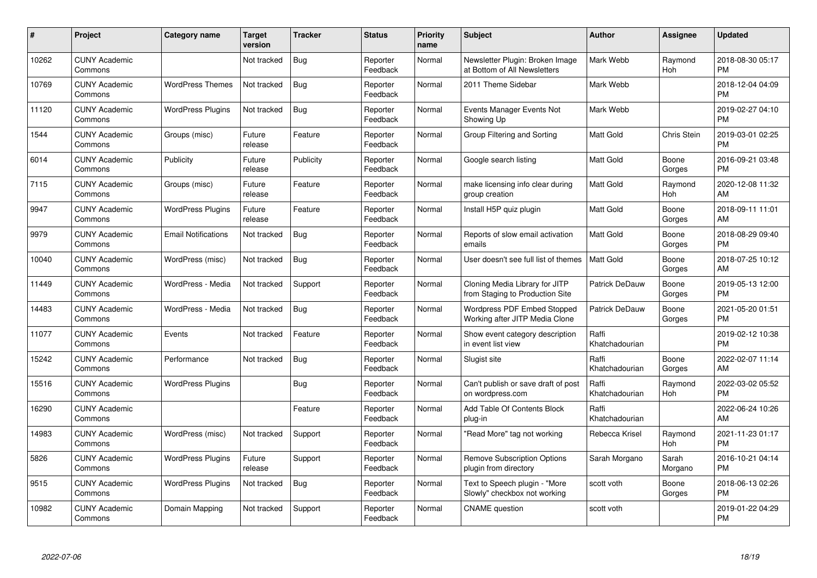| #     | Project                         | <b>Category name</b>       | <b>Target</b><br>version | <b>Tracker</b> | <b>Status</b>        | <b>Priority</b><br>name | <b>Subject</b>                                                       | <b>Author</b>           | <b>Assignee</b>  | <b>Updated</b>                |
|-------|---------------------------------|----------------------------|--------------------------|----------------|----------------------|-------------------------|----------------------------------------------------------------------|-------------------------|------------------|-------------------------------|
| 10262 | <b>CUNY Academic</b><br>Commons |                            | Not tracked              | Bug            | Reporter<br>Feedback | Normal                  | Newsletter Plugin: Broken Image<br>at Bottom of All Newsletters      | Mark Webb               | Raymond<br>Hoh   | 2018-08-30 05:17<br><b>PM</b> |
| 10769 | <b>CUNY Academic</b><br>Commons | <b>WordPress Themes</b>    | Not tracked              | Bug            | Reporter<br>Feedback | Normal                  | 2011 Theme Sidebar                                                   | Mark Webb               |                  | 2018-12-04 04:09<br><b>PM</b> |
| 11120 | <b>CUNY Academic</b><br>Commons | <b>WordPress Plugins</b>   | Not tracked              | <b>Bug</b>     | Reporter<br>Feedback | Normal                  | Events Manager Events Not<br>Showing Up                              | Mark Webb               |                  | 2019-02-27 04:10<br><b>PM</b> |
| 1544  | <b>CUNY Academic</b><br>Commons | Groups (misc)              | Future<br>release        | Feature        | Reporter<br>Feedback | Normal                  | Group Filtering and Sorting                                          | Matt Gold               | Chris Stein      | 2019-03-01 02:25<br><b>PM</b> |
| 6014  | <b>CUNY Academic</b><br>Commons | Publicity                  | Future<br>release        | Publicity      | Reporter<br>Feedback | Normal                  | Google search listing                                                | <b>Matt Gold</b>        | Boone<br>Gorges  | 2016-09-21 03:48<br><b>PM</b> |
| 7115  | <b>CUNY Academic</b><br>Commons | Groups (misc)              | Future<br>release        | Feature        | Reporter<br>Feedback | Normal                  | make licensing info clear during<br>group creation                   | <b>Matt Gold</b>        | Raymond<br>Hoh   | 2020-12-08 11:32<br>AM        |
| 9947  | <b>CUNY Academic</b><br>Commons | <b>WordPress Plugins</b>   | Future<br>release        | Feature        | Reporter<br>Feedback | Normal                  | Install H5P quiz plugin                                              | Matt Gold               | Boone<br>Gorges  | 2018-09-11 11:01<br>AM        |
| 9979  | <b>CUNY Academic</b><br>Commons | <b>Email Notifications</b> | Not tracked              | <b>Bug</b>     | Reporter<br>Feedback | Normal                  | Reports of slow email activation<br>emails                           | <b>Matt Gold</b>        | Boone<br>Gorges  | 2018-08-29 09:40<br><b>PM</b> |
| 10040 | <b>CUNY Academic</b><br>Commons | WordPress (misc)           | Not tracked              | Bug            | Reporter<br>Feedback | Normal                  | User doesn't see full list of themes                                 | <b>Matt Gold</b>        | Boone<br>Gorges  | 2018-07-25 10:12<br>AM        |
| 11449 | <b>CUNY Academic</b><br>Commons | WordPress - Media          | Not tracked              | Support        | Reporter<br>Feedback | Normal                  | Cloning Media Library for JITP<br>from Staging to Production Site    | Patrick DeDauw          | Boone<br>Gorges  | 2019-05-13 12:00<br><b>PM</b> |
| 14483 | <b>CUNY Academic</b><br>Commons | WordPress - Media          | Not tracked              | <b>Bug</b>     | Reporter<br>Feedback | Normal                  | <b>Wordpress PDF Embed Stopped</b><br>Working after JITP Media Clone | Patrick DeDauw          | Boone<br>Gorges  | 2021-05-20 01:51<br><b>PM</b> |
| 11077 | <b>CUNY Academic</b><br>Commons | Events                     | Not tracked              | Feature        | Reporter<br>Feedback | Normal                  | Show event category description<br>in event list view                | Raffi<br>Khatchadourian |                  | 2019-02-12 10:38<br><b>PM</b> |
| 15242 | <b>CUNY Academic</b><br>Commons | Performance                | Not tracked              | <b>Bug</b>     | Reporter<br>Feedback | Normal                  | Slugist site                                                         | Raffi<br>Khatchadourian | Boone<br>Gorges  | 2022-02-07 11:14<br>AM        |
| 15516 | <b>CUNY Academic</b><br>Commons | <b>WordPress Plugins</b>   |                          | Bug            | Reporter<br>Feedback | Normal                  | Can't publish or save draft of post<br>on wordpress.com              | Raffi<br>Khatchadourian | Raymond<br>Hoh   | 2022-03-02 05:52<br><b>PM</b> |
| 16290 | <b>CUNY Academic</b><br>Commons |                            |                          | Feature        | Reporter<br>Feedback | Normal                  | Add Table Of Contents Block<br>plug-in                               | Raffi<br>Khatchadourian |                  | 2022-06-24 10:26<br>AM        |
| 14983 | <b>CUNY Academic</b><br>Commons | WordPress (misc)           | Not tracked              | Support        | Reporter<br>Feedback | Normal                  | "Read More" tag not working                                          | Rebecca Krisel          | Raymond<br>Hoh   | 2021-11-23 01:17<br><b>PM</b> |
| 5826  | <b>CUNY Academic</b><br>Commons | <b>WordPress Plugins</b>   | Future<br>release        | Support        | Reporter<br>Feedback | Normal                  | <b>Remove Subscription Options</b><br>plugin from directory          | Sarah Morgano           | Sarah<br>Morgano | 2016-10-21 04:14<br><b>PM</b> |
| 9515  | <b>CUNY Academic</b><br>Commons | <b>WordPress Plugins</b>   | Not tracked              | Bug            | Reporter<br>Feedback | Normal                  | Text to Speech plugin - "More<br>Slowly" checkbox not working        | scott voth              | Boone<br>Gorges  | 2018-06-13 02:26<br><b>PM</b> |
| 10982 | <b>CUNY Academic</b><br>Commons | Domain Mapping             | Not tracked              | Support        | Reporter<br>Feedback | Normal                  | <b>CNAME</b> question                                                | scott voth              |                  | 2019-01-22 04:29<br><b>PM</b> |